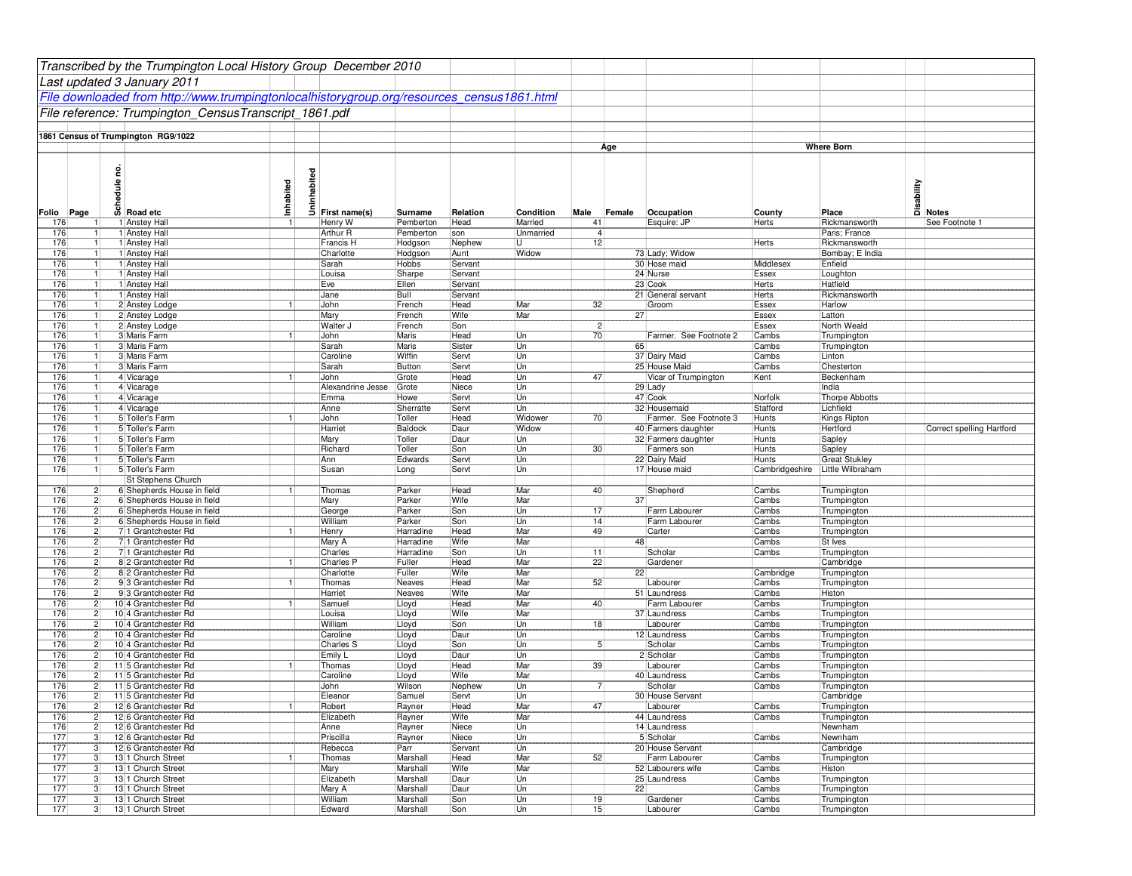|            |                                  |   | Transcribed by the Trumpington Local History Group December 2010                           |                |                                                                                                                                                                                                                                                                                                                                                                                                                                   |                        |                    |                  |                |                 |                                        |                       |                                |                                        |
|------------|----------------------------------|---|--------------------------------------------------------------------------------------------|----------------|-----------------------------------------------------------------------------------------------------------------------------------------------------------------------------------------------------------------------------------------------------------------------------------------------------------------------------------------------------------------------------------------------------------------------------------|------------------------|--------------------|------------------|----------------|-----------------|----------------------------------------|-----------------------|--------------------------------|----------------------------------------|
|            |                                  |   | Last updated 3 January 2011                                                                |                |                                                                                                                                                                                                                                                                                                                                                                                                                                   |                        |                    |                  |                |                 |                                        |                       |                                |                                        |
|            |                                  |   | File downloaded from http://www.trumpingtonlocalhistorygroup.org/resources census1861.html |                |                                                                                                                                                                                                                                                                                                                                                                                                                                   |                        |                    |                  |                |                 |                                        |                       |                                |                                        |
|            |                                  |   | File reference: Trumpington CensusTranscript 1861.pdf                                      |                |                                                                                                                                                                                                                                                                                                                                                                                                                                   |                        |                    |                  |                |                 |                                        |                       |                                |                                        |
|            |                                  |   |                                                                                            |                |                                                                                                                                                                                                                                                                                                                                                                                                                                   |                        |                    |                  |                |                 |                                        |                       |                                |                                        |
|            |                                  |   | 1861 Census of Trumpington RG9/1022                                                        |                |                                                                                                                                                                                                                                                                                                                                                                                                                                   |                        |                    |                  |                |                 |                                        |                       |                                |                                        |
|            |                                  |   |                                                                                            |                |                                                                                                                                                                                                                                                                                                                                                                                                                                   |                        |                    |                  |                | Age             |                                        |                       | <b>Where Born</b>              |                                        |
|            |                                  |   |                                                                                            |                |                                                                                                                                                                                                                                                                                                                                                                                                                                   |                        |                    |                  |                |                 |                                        |                       |                                |                                        |
|            |                                  | g |                                                                                            |                | $\frac{1}{\frac{1}{\sqrt{1-\frac{1}{\sqrt{1-\frac{1}{\sqrt{1-\frac{1}{\sqrt{1-\frac{1}{\sqrt{1-\frac{1}{\sqrt{1-\frac{1}{\sqrt{1-\frac{1}{\sqrt{1-\frac{1}{\sqrt{1-\frac{1}{\sqrt{1-\frac{1}{\sqrt{1-\frac{1}{\sqrt{1-\frac{1}{\sqrt{1-\frac{1}{\sqrt{1-\frac{1}{\sqrt{1-\frac{1}{\sqrt{1-\frac{1}{\sqrt{1-\frac{1}{\sqrt{1-\frac{1}{\sqrt{1-\frac{1}{\sqrt{1-\frac{1}{\sqrt{1-\frac{1}{\sqrt{1-\frac{1}{\sqrt{1-\frac{1}{\sqrt{$ |                        |                    |                  |                |                 |                                        |                       |                                |                                        |
|            |                                  |   | $\frac{1}{6}$<br>$\frac{1}{6}$ Road etc                                                    | Inhabited      |                                                                                                                                                                                                                                                                                                                                                                                                                                   |                        |                    |                  |                |                 |                                        |                       |                                | Disability<br>Disability<br>Disability |
|            |                                  |   |                                                                                            |                |                                                                                                                                                                                                                                                                                                                                                                                                                                   |                        |                    |                  |                |                 |                                        |                       |                                |                                        |
| Folio      | Page                             |   |                                                                                            |                |                                                                                                                                                                                                                                                                                                                                                                                                                                   | Surname                | Relation           | Condition        | Male           | Female          | Occupation                             | County                | Place                          |                                        |
| 176        |                                  |   | 1 Anstey Hall                                                                              |                | Henry W                                                                                                                                                                                                                                                                                                                                                                                                                           | Pemberton              | Head               | Married          | 41             |                 | Esquire: JP                            | Herts                 | Rickmansworth                  | See Footnote 1                         |
| 176<br>176 |                                  |   | 1 Anstey Hall<br>1 Anstey Hall                                                             |                | Arthur R<br>Francis H                                                                                                                                                                                                                                                                                                                                                                                                             | Pemberton<br>Hodgson   | son<br>Nephew      | Unmarried<br>U   | 4 <br>12       |                 |                                        | Herts                 | Paris: France<br>Rickmansworth |                                        |
| 176        | $\mathbf{1}$                     |   | 1 Anstey Hall                                                                              |                | Charlotte                                                                                                                                                                                                                                                                                                                                                                                                                         | Hodgson                | Aunt               | Widow            |                |                 | 73 Lady; Widow                         |                       | Bombay; E India                |                                        |
| 176        | 1                                |   | 1 Anstey Hall                                                                              |                | Sarah                                                                                                                                                                                                                                                                                                                                                                                                                             | Hobbs                  | Servant            |                  |                |                 | 30 Hose maid                           | Middlesex             | Enfield                        |                                        |
| 176        | 1                                |   | 1 Anstey Hall                                                                              |                | Louisa                                                                                                                                                                                                                                                                                                                                                                                                                            | Sharpe                 | Servant            |                  |                |                 | 24 Nurse                               | Essex                 | Loughton                       |                                        |
| 176<br>176 |                                  |   | 1 Anstey Hall<br>1 Anstey Hall                                                             |                | Eve<br>Jane                                                                                                                                                                                                                                                                                                                                                                                                                       | Ellen<br>Bull          | Servant<br>Servant |                  |                |                 | 23 Cook<br>21 General servant          | Herts<br>Herts        | Hatfield<br>Rickmansworth      |                                        |
| 176        |                                  |   | 2 Anstey Lodge                                                                             | $\overline{1}$ | John                                                                                                                                                                                                                                                                                                                                                                                                                              | French                 | Head               | Mar              | 32             |                 | Groom                                  | Essex                 | Harlow                         |                                        |
| 176        | -1                               |   | 2 Anstey Lodge                                                                             |                | Mary                                                                                                                                                                                                                                                                                                                                                                                                                              | French                 | Wife               | Mar              |                | 27 <sup>1</sup> |                                        | Essex                 | Latton                         |                                        |
| 176        | 1                                |   | 2 Anstey Lodge                                                                             |                | Walter J                                                                                                                                                                                                                                                                                                                                                                                                                          | French                 | Son                |                  | 2              |                 |                                        | Essex                 | North Weald                    |                                        |
| 176        |                                  |   | 3 Maris Farm                                                                               |                | John                                                                                                                                                                                                                                                                                                                                                                                                                              | Maris                  | Head               | Un               | 70             |                 | Farmer. See Footnote 2                 | Cambs                 | Trumpington                    |                                        |
| 176<br>176 |                                  |   | 3 Maris Farm<br>3 Maris Farm                                                               |                | Sarah<br>Caroline                                                                                                                                                                                                                                                                                                                                                                                                                 | Maris<br>Wiffin        | Sister<br>Servt    | Un<br>Un         |                | 65              | 37 Dairy Maid                          | Cambs<br>Cambs        | Trumpington<br>Linton          |                                        |
| 176        | -1                               |   | 3 Maris Farm                                                                               |                | Sarah                                                                                                                                                                                                                                                                                                                                                                                                                             | Button                 | Servt              | Un               |                |                 | 25 House Maid                          | Cambs                 | Chesterton                     |                                        |
| 176        | 1                                |   | 4 Vicarage                                                                                 | $\mathbf{1}$   | John                                                                                                                                                                                                                                                                                                                                                                                                                              | Grote                  | Head               | Un               | 47             |                 | Vicar of Trumpington                   | Kent                  | Beckenham                      |                                        |
| 176        |                                  |   | 4 Vicarage                                                                                 |                | Alexandrine Jesse                                                                                                                                                                                                                                                                                                                                                                                                                 | Grote                  | Niece              | Un               |                |                 | 29 Lady                                |                       | India                          |                                        |
| 176        |                                  |   | 4 Vicarage                                                                                 |                | Emma                                                                                                                                                                                                                                                                                                                                                                                                                              | Howe                   | Servt              | Un               |                |                 | 47 Cook                                | Norfolk               | Thorpe Abbotts                 |                                        |
| 176<br>176 | $\mathbf{1}$                     |   | 4 Vicarage<br>5 Toller's Farm                                                              |                | Anne<br>John                                                                                                                                                                                                                                                                                                                                                                                                                      | Sherratte<br>Toller    | Servt<br>Head      | Un               | 70             |                 | 32 Housemaid<br>Farmer. See Footnote 3 | Stafford              | Lichfield<br>Kings Ripton      |                                        |
| 176        | -1<br>$\mathbf{1}$               |   | 5 Toller's Farm                                                                            |                | Harriet                                                                                                                                                                                                                                                                                                                                                                                                                           | Baldock                | Daur               | Widower<br>Widow |                |                 | 40 Farmers daughter                    | Hunts<br>Hunts        | Hertford                       | Correct spelling Hartford              |
| 176        |                                  |   | 5 Toller's Farm                                                                            |                | Mary                                                                                                                                                                                                                                                                                                                                                                                                                              | Toller                 | Daur               | Un               |                |                 | 32 Farmers daughter                    | Hunts                 | Sapley                         |                                        |
| 176        |                                  |   | 5 Toller's Farm                                                                            |                | Richard                                                                                                                                                                                                                                                                                                                                                                                                                           | Toller                 | Son                | Un               | 30             |                 | Farmers son                            | Hunts                 | Sapley                         |                                        |
| 176        |                                  |   | 5 Toller's Farm                                                                            |                | Ann                                                                                                                                                                                                                                                                                                                                                                                                                               | Edwards                | Servt              | Un               |                |                 | 22 Dairy Maid                          | Hunts                 | <b>Great Stukley</b>           |                                        |
| 176        |                                  |   | 5 Toller's Farm                                                                            |                | Susan                                                                                                                                                                                                                                                                                                                                                                                                                             | Long                   | Servt              | Un               |                |                 | 17 House maid                          | Cambridgeshire        | Little Wilbraham               |                                        |
| 176        | 2                                |   | St Stephens Church<br>6 Shepherds House in field                                           | $\mathbf{1}$   | Thomas                                                                                                                                                                                                                                                                                                                                                                                                                            | Parker                 | Head               | Mar              | 40             |                 | Shepherd                               | Cambs                 | Trumpington                    |                                        |
| 176        | $\overline{2}$                   |   | 6 Shepherds House in field                                                                 |                | Mary                                                                                                                                                                                                                                                                                                                                                                                                                              | Parker                 | Wife               | Mar              |                | 37              |                                        | Cambs                 | Trumpington                    |                                        |
| 176        | $\overline{c}$                   |   | 6 Shepherds House in field                                                                 |                | George                                                                                                                                                                                                                                                                                                                                                                                                                            | Parker                 | Son                | Un               | 17             |                 | Farm Labourer                          | Cambs                 | Trumpington                    |                                        |
| 176        | $\overline{c}$                   |   | 6 Shepherds House in field                                                                 |                | William                                                                                                                                                                                                                                                                                                                                                                                                                           | Parker                 | Son                | Un               | 14             |                 | Farm Labourer                          | Cambs                 | Trumpington                    |                                        |
| 176        | $\overline{c}$                   |   | 711 Grantchester Rd                                                                        | $\mathbf{1}$   | Henry                                                                                                                                                                                                                                                                                                                                                                                                                             | Harradine              | Head               | Mar              | 49             |                 | Carter                                 | Cambs                 | Trumpington                    |                                        |
| 176<br>176 | $\overline{c}$<br>$\overline{2}$ |   | 711 Grantchester Rd<br>71 Grantchester Rd                                                  |                | Mary A<br>Charles                                                                                                                                                                                                                                                                                                                                                                                                                 | Harradine<br>Harradine | Wife<br>Son        | Mar<br>Un        | 11             | 48              | Scholar                                | Cambs<br><b>Cambs</b> | St Ives<br>Trumpington         |                                        |
| 176        | $\overline{2}$                   |   | 8 2 Grantchester Rd                                                                        | $\vert$        | Charles P                                                                                                                                                                                                                                                                                                                                                                                                                         | Fuller                 | Head               | Mar              | 22             |                 | Gardener                               |                       | Cambridge                      |                                        |
| 176        | $\overline{c}$                   |   | 8 2 Grantchester Rd                                                                        |                | Charlotte                                                                                                                                                                                                                                                                                                                                                                                                                         | Fuller                 | Wife               | Mar              |                | 22              |                                        | Cambridge             | Trumpington                    |                                        |
| 176        | $\mathbf{2}$                     |   | 93 Grantchester Rd                                                                         | $\mathbf{1}$   | Thomas                                                                                                                                                                                                                                                                                                                                                                                                                            | Neaves                 | Head               | Mar              | 52             |                 | Labourer                               | Cambs                 | Trumpington                    |                                        |
| 176        | $\overline{c}$<br>$\overline{2}$ |   | 93 Grantchester Rd                                                                         | $\mathbf{1}$   | Harriet                                                                                                                                                                                                                                                                                                                                                                                                                           | Neaves                 | Wife               | Mar              |                |                 | 51 Laundress                           | Cambs                 | Histon                         |                                        |
| 176<br>176 | $\overline{2}$                   |   | 10 4 Grantchester Rd<br>10 4 Grantchester Rd                                               |                | Samuel<br>Louisa                                                                                                                                                                                                                                                                                                                                                                                                                  | Lloyd<br>Lloyd         | Head<br>Wife       | Mar<br>Mar       | 40             |                 | Farm Labourer<br>37 Laundress          | Cambs<br>Cambs        | Trumpington<br>Trumpington     |                                        |
| 176        | $\overline{2}$                   |   | 10 4 Grantchester Rd                                                                       |                | William                                                                                                                                                                                                                                                                                                                                                                                                                           | Lloyd                  | Son                | Un               | 18             |                 | Labourer                               | Cambs                 | Trumpington                    |                                        |
| 176        | $\mathbf{2}$                     |   | 10 4 Grantchester Rd                                                                       |                | Caroline                                                                                                                                                                                                                                                                                                                                                                                                                          | Lloyd                  | Daur               | Un               |                |                 | 12 Laundress                           | Cambs                 | Trumpington                    |                                        |
| 176        | $\overline{c}$                   |   | 10 4 Grantchester Rd                                                                       |                | <b>Charles S</b>                                                                                                                                                                                                                                                                                                                                                                                                                  | Lloyd                  | Son                | Un               | 5 <sup>1</sup> |                 | Scholar                                | Cambs                 | Trumpington                    |                                        |
| 176        | $\overline{c}$                   |   | 10 4 Grantchester Rd                                                                       |                | Emily L                                                                                                                                                                                                                                                                                                                                                                                                                           | Lloyd                  | Daur               | Un               |                |                 | 2 Scholar                              | Cambs                 | Trumpington                    |                                        |
| 176<br>176 | $\overline{c}$<br>$\overline{c}$ |   | 11 5 Grantchester Rd<br>11 5 Grantchester Rd                                               |                | Thomas<br>Caroline                                                                                                                                                                                                                                                                                                                                                                                                                | Lloyd<br>Lloyd         | Head<br>Wife       | Mar<br>Mar       | 39             |                 | Labourer<br>40 Laundress               | Cambs<br>Cambs        | Trumpington<br>Trumpington     |                                        |
| 176        | 2                                |   | 115 Grantchester Rd                                                                        |                | John                                                                                                                                                                                                                                                                                                                                                                                                                              | Wilson                 | Nephew             | Un               | 7              |                 | Scholar                                | Cambs                 | Trumpington                    |                                        |
| 176        | $\overline{c}$                   |   | 115 Grantchester Rd                                                                        |                | Eleanor                                                                                                                                                                                                                                                                                                                                                                                                                           | Samuel                 | Servt              | Un               |                |                 | 30 House Servant                       |                       | Cambridge                      |                                        |
| 176        |                                  | 2 | 12 6 Grantchester Rd                                                                       | $\vert$ 1      | Robert                                                                                                                                                                                                                                                                                                                                                                                                                            | Rayner                 | Head               | Mar              | 47             |                 | Labourer                               | Cambs                 | Trumpington                    |                                        |
| 176        | $\overline{c}$                   |   | 12 6 Grantchester Rd                                                                       |                | Elizabeth                                                                                                                                                                                                                                                                                                                                                                                                                         | Rayner                 | Wife               | Mar              |                |                 | 44 Laundress                           | Cambs                 | Trumpington                    |                                        |
| 176<br>177 | 2<br>$\mathbf{3}$                |   | 12 6 Grantchester Rd<br>12 6 Grantchester Rd                                               |                | Anne<br>Priscilla                                                                                                                                                                                                                                                                                                                                                                                                                 | Rayner<br>Rayner       | Niece<br>Niece     | Un<br>Un         |                |                 | 14 Laundress<br>5 Scholar              | Cambs                 | Newnham<br>Newnham             |                                        |
| 177        | $\mathbf{3}$                     |   | 12 6 Grantchester Rd                                                                       |                | Rebecca                                                                                                                                                                                                                                                                                                                                                                                                                           | Parr                   | Servant            | Un               |                |                 | 20 House Servant                       |                       | Cambridge                      |                                        |
| 177        | $\mathbf{3}$                     |   | 131 Church Street                                                                          |                | Thomas                                                                                                                                                                                                                                                                                                                                                                                                                            | Marshall               | Head               | Mar              | 52             |                 | Farm Labourer                          | Cambs                 | Trumpington                    |                                        |
| 177        | $\mathbf{3}$                     |   | 131 Church Street                                                                          |                | Mary                                                                                                                                                                                                                                                                                                                                                                                                                              | Marshall               | Wife               | Mar              |                |                 | 52 Labourers wife                      | Cambs                 | Histon                         |                                        |
| 177        | $\overline{3}$                   |   | 131 Church Street                                                                          |                | Elizabeth                                                                                                                                                                                                                                                                                                                                                                                                                         | Marshall               | Daur               | Un               |                |                 | 25 Laundress                           | Cambs                 | Trumpington                    |                                        |
| 177<br>177 | $\mathbf{3}$<br>3                |   | 131 Church Street<br>13 1 Church Street                                                    |                | Mary A<br>William                                                                                                                                                                                                                                                                                                                                                                                                                 | Marshall<br>Marshall   | Daur<br>Son        | Un<br>Un         | 19             | 22              | Gardener                               | Cambs<br>Cambs        | Trumpington<br>Trumpington     |                                        |
| 177        | 3                                |   | 13 1 Church Street                                                                         |                | Edward                                                                                                                                                                                                                                                                                                                                                                                                                            | Marshall               | Son                | Un               | 15             |                 | Labourer                               | Cambs                 | Trumpington                    |                                        |
|            |                                  |   |                                                                                            |                |                                                                                                                                                                                                                                                                                                                                                                                                                                   |                        |                    |                  |                |                 |                                        |                       |                                |                                        |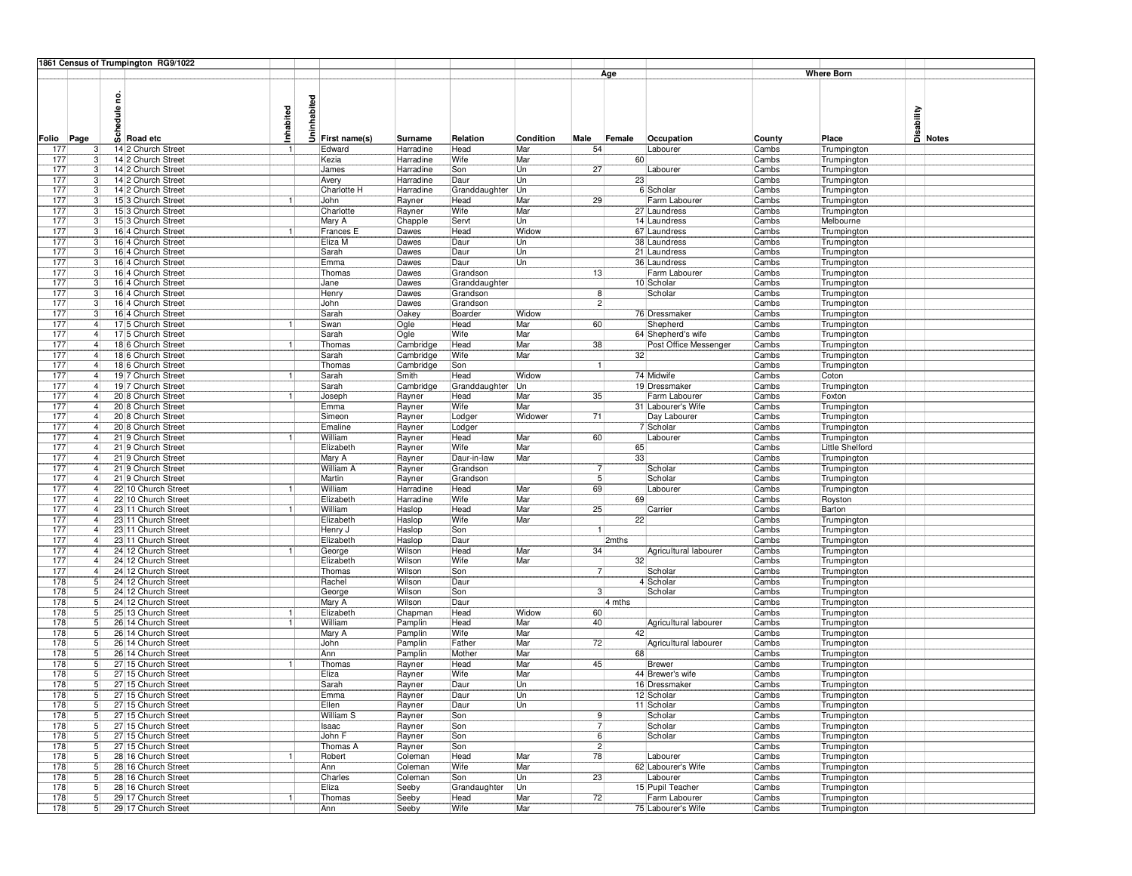|               | 1861 Census of Trumpington RG9/1022                 |           |         |                  |                  |                           |           |                |        |                             |                |                            |                                      |
|---------------|-----------------------------------------------------|-----------|---------|------------------|------------------|---------------------------|-----------|----------------|--------|-----------------------------|----------------|----------------------------|--------------------------------------|
|               |                                                     |           |         |                  |                  |                           |           |                | Age    |                             |                | <b>Where Born</b>          |                                      |
|               |                                                     |           |         |                  |                  |                           |           |                |        |                             |                |                            |                                      |
|               | g                                                   |           | habited |                  |                  |                           |           |                |        |                             |                |                            |                                      |
|               | edule                                               |           |         |                  |                  |                           |           |                |        |                             |                |                            | Disability<br>Disability<br>Disables |
|               |                                                     |           |         |                  |                  |                           |           |                |        |                             |                |                            |                                      |
|               |                                                     | Inhabited |         |                  |                  |                           |           |                |        |                             |                |                            |                                      |
| Page<br>Folio | $\frac{5}{9}$ Road etc                              |           | Ŝ       | First name(s)    | Surname          | Relation                  | Condition | Male           | Female | Occupation                  | County         | Place                      |                                      |
| 177           | 14 2 Church Street                                  |           |         | Edward           | Harradine        | Head                      | Mar       | 54             |        | Labourer                    | Cambs          | Trumpington                |                                      |
| 177           | 14 2 Church Street<br>3                             |           |         | Kezia            | Harradine        | Wife                      | Mar       |                | 60     |                             | Cambs          | Trumpington                |                                      |
| 177           | 14 2 Church Street<br>3                             |           |         | James            | Harradine        | Son                       | Un        | 27             |        | Labourer                    | Cambs          | Trumpington                |                                      |
| 177           | 14 2 Church Street<br>3                             |           |         | Avery            | Harradine        | Daur                      | Un        |                | 23     |                             | Cambs          | Trumpington                |                                      |
| 177           | 3<br>14 2 Church Street                             |           |         | Charlotte H      | Harradine        | Granddaughter Un          |           |                |        | 6 Scholar                   | Cambs          | Trumpington                |                                      |
| 177           | 15 3 Church Street<br>3                             |           |         | John             | Rayner           | Head                      | Mar       | 29             |        | Farm Labourer               | Cambs          | Trumpington                |                                      |
| 177           | 15 3 Church Street<br>3                             |           |         | Charlotte        | Rayner           | Wife                      | Mar       |                |        | 27 Laundress                | Cambs          | Trumpington                |                                      |
| 177           | 153 Church Street<br>-3                             |           |         | Mary A           | Chapple          | Servt                     | Un        |                |        | 14 Laundress                | Cambs          | Melbourne                  |                                      |
| 177           | 16 4 Church Street<br>3                             |           |         | Frances E        | Dawes            | Head                      | Widow     |                |        | 67 Laundress                | Cambs          | Trumpington                |                                      |
| 177           | $\overline{3}$<br>16 4 Church Street                |           |         | Eliza M          | Dawes            | Daur                      | Un        |                |        | 38 Laundress                | Cambs          | Trumpington                |                                      |
| 177<br>177    | 16 4 Church Street<br>3                             |           |         | Sarah            | Dawes            | Daur                      | Un        |                |        | 21 Laundress                | Cambs          | Trumpington                |                                      |
| 177           | 16 4 Church Street<br>3<br>16 4 Church Street<br>-3 |           |         | Emma<br>Thomas   | Dawes            | Daur                      | Un        | 13             |        | 36 Laundress                | Cambs          | Trumpington                |                                      |
| 177           | 16 4 Church Street<br>3                             |           |         | Jane             | Dawes<br>Dawes   | Grandson<br>Granddaughter |           |                |        | Farm Labourer<br>10 Scholar | Cambs<br>Cambs | Trumpington<br>Trumpington |                                      |
| 177           | 3<br>16 4 Church Street                             |           |         | Henry            | Dawes            | Grandson                  |           | 8              |        | Scholar                     | Cambs          | Trumpington                |                                      |
| 177           | 16 4 Church Street<br>3                             |           |         | John             | Dawes            | Grandson                  |           | $\mathbf{2}$   |        |                             | Cambs          | Trumpington                |                                      |
| 177           | 16 4 Church Street<br>3                             |           |         | Sarah            | Oakey            | Boarder                   | Widow     |                |        | 76 Dressmaker               | Cambs          |                            |                                      |
| 177           | 17 5 Church Street                                  |           |         | Swan             | Ogle             | Head                      | Mar       | 60             |        | Shepherd                    | Cambs          | Trumpington<br>Trumpington |                                      |
| 177           | 17 5 Church Street<br>$\overline{4}$                |           |         | Sarah            | Ogle             | Wife                      | Mar       |                |        | 64 Shepherd's wife          | Cambs          | Trumpington                |                                      |
| 177           | $\overline{4}$<br>18 6 Church Street                |           |         | Thomas           | Cambridge        | Head                      | Mar       | 38             |        | Post Office Messenger       | Cambs          | Trumpington                |                                      |
| 177           | 18 6 Church Street                                  |           |         | Sarah            | Cambridge        | Wife                      | Mar       |                | 32     |                             | Cambs          | Trumpington                |                                      |
| 177           | 18 6 Church Street                                  |           |         | Thomas           | Cambridge        | Son                       |           |                |        |                             | Cambs          | Trumpington                |                                      |
| 177           | 19 7 Church Street                                  |           |         | Sarah            | Smith            | Head                      | Widow     |                |        | 74 Midwife                  | Cambs          | Coton                      |                                      |
| 177           | 19 7 Church Street<br>$\overline{4}$                |           |         | Sarah            | Cambridge        | Granddaughter Un          |           |                |        | 19 Dressmaker               | Cambs          | Trumpington                |                                      |
| 177           | $\overline{4}$<br>20 8 Church Street                | 1         |         | Joseph           | Rayner           | Head                      | Mar       | 35             |        | Farm Labourer               | Cambs          | Foxton                     |                                      |
| 177           | 20 8 Church Street                                  |           |         | Emma             | Rayner           | Wife                      | Mar       |                |        | 31 Labourer's Wife          | Cambs          | Trumpington                |                                      |
| 177           | 20 8 Church Street                                  |           |         | Simeon           | Rayner           | Lodger                    | Widower   | 71             |        | Day Labourer                | Cambs          | Trumpington                |                                      |
| 177           | 20 8 Church Street                                  |           |         | Emaline          | Rayner           | Lodger                    |           |                |        | 7 Scholar                   | Cambs          | Trumpington                |                                      |
| 177           | 21 9 Church Street<br>$\overline{4}$                |           |         | William          | Rayner           | Head                      | Mar       | 60             |        | Labourer                    | Cambs          | Trumpington                |                                      |
| 177           | $\overline{4}$<br>21 9 Church Street                |           |         | Elizabeth        | Rayner           | Wife                      | Mar       |                | 65     |                             | Cambs          | Little Shelford            |                                      |
| 177           | 21 9 Church Street                                  |           |         | Mary A           | Rayner           | Daur-in-law               | Mar       |                | 33     |                             | Cambs          | Trumpington                |                                      |
| 177           | 21 9 Church Street                                  |           |         | William A        | Rayner           | Grandson                  |           | $\overline{7}$ |        | Scholar                     | Cambs          | Trumpington                |                                      |
| 177           | 21 9 Church Street                                  |           |         | Martin           | Rayner           | Grandson                  |           | 5 <sup>1</sup> |        | Scholar                     | Cambs          | Trumpington                |                                      |
| 177           | 22 10 Church Street<br>$\overline{4}$               |           |         | William          | Harradine        | Head                      | Mar       | 69             |        | Labourer                    | Cambs          | Trumpington                |                                      |
| 177           | $\overline{4}$<br>22 10 Church Street               |           |         | Elizabeth        | Harradine        | Wife                      | Mar       |                | 69     |                             | Cambs          | Royston                    |                                      |
| 177           | 23 11 Church Street<br>$\overline{4}$               |           |         | William          | Haslop           | Head                      | Mar       | 25             |        | Carrier                     | Cambs          | Barton                     |                                      |
| 177           | 23 11 Church Street                                 |           |         | Elizabeth        | Haslop           | Wife                      | Mar       |                | 22     |                             | Cambs          | Trumpington                |                                      |
| 177           | 23 11 Church Street                                 |           |         | Henry J          | Haslop           | Son                       |           |                |        |                             | Cambs          | Trumpington                |                                      |
| 177           | 23 11 Church Street<br>$\overline{4}$               |           |         | Elizabeth        | Haslop           | Daur                      |           |                | 2mths  |                             | Cambs          | Trumpington                |                                      |
| 177           | $\overline{4}$<br>24 12 Church Street               |           |         | George           | Wilson           | Head                      | Mar       | 34             |        | Agricultural labourer       | Cambs          | Trumpington                |                                      |
| 177           | 24 12 Church Street<br>$\overline{4}$               |           |         | Elizabeth        | Wilson           | Wife                      | Mar       |                | 32     |                             | Cambs          | Trumpington                |                                      |
| 177           | 24 12 Church Street<br>$\overline{4}$               |           |         | Thomas           | Wilson           | Son                       |           | $\overline{7}$ |        | Scholar                     | Cambs          | Trumpington                |                                      |
| 178<br>178    | 5<br>24 12 Church Street<br>24 12 Church Street     |           |         | Rachel           | Wilson<br>Wilson | Daur                      |           | 31             |        | 4 Scholar                   | Cambs          | Trumpington                |                                      |
| 178           | 5<br>5 <sub>l</sub><br>24 12 Church Street          |           |         | George<br>Mary A | Wilson           | Son<br>Daur               |           |                | 4 mths | Scholar                     | Cambs<br>Cambs | Trumpington                |                                      |
| 178           | 5<br>25 13 Church Street                            |           |         | Elizabeth        | Chapman          | Head                      | Widow     | 60             |        |                             | Cambs          | Trumpington<br>Trumpington |                                      |
| 178           | 5<br>26 14 Church Street                            |           |         | William          | Pamplin          | Head                      | Mar       | 40             |        | Agricultural labourer       | Cambs          | Trumpington                |                                      |
| 178           | 5<br>26 14 Church Street                            |           |         | Mary A           | Pamplin          | Wife                      | Mar       |                | 42     |                             | Cambs          | Trumpington                |                                      |
| 178           | $\overline{5}$<br>26:14 Church Street               |           |         | John             | Pamplin          | Father                    | Mar       | 72             |        | Agricultural labourer       | Cambs          | Trumpington                |                                      |
| 178           | $\overline{5}$<br>26 14 Church Street               |           |         | Ann              | Pamplin          | Mother                    | Mar       |                | 68     |                             | Cambs          | Trumpington                |                                      |
| 178           | 5<br>27 15 Church Street                            |           |         | Thomas           | Rayner           | Head                      | Mar       | 45             |        | Brewer                      | Cambs          | Trumpington                |                                      |
| 178           | 27 15 Church Street<br>5                            |           |         | Eliza            | Rayner           | Wife                      | Mar       |                |        | 44 Brewer's wife            | Cambs          | Trumpington                |                                      |
| 178           | 5<br>27 15 Church Street                            |           |         | Sarah            | Rayner           | Daur                      | Un        |                |        | 16 Dressmaker               | Cambs          | Trumpington                |                                      |
| 178           | 5 <sup>1</sup><br>27 15 Church Street               |           |         | Emma             | Rayner           | Daur                      | Un        |                |        | 12 Scholar                  | Cambs          | Trumpington                |                                      |
| 178           | 5 <sub>1</sub><br>27 15 Church Street               |           |         | Ellen            | Rayner           | Daur                      | Un        |                |        | 11 Scholar                  | Cambs          | Trumpington                |                                      |
| 178           | $\overline{5}$<br>27 15 Church Street               |           |         | William S        | Rayner           | Son                       |           | 9              |        | Scholar                     | Cambs          | Trumpington                |                                      |
| 178           | 5<br>27 15 Church Street                            |           |         | Isaac            | Rayner           | Son                       |           | $\overline{7}$ |        | Scholar                     | Cambs          | Trumpington                |                                      |
| 178           | 5<br>27 15 Church Street                            |           |         | John F           | Rayner           | Son                       |           | 6 <sup>1</sup> |        | Scholar                     | Cambs          | Trumpington                |                                      |
| 178           | $\overline{5}$<br>27 15 Church Street               |           |         | Thomas A         | Rayner           | Son                       |           | $\overline{2}$ |        |                             | Cambs          | Trumpington                |                                      |
| 178           | $\overline{5}$<br>28 16 Church Street               |           |         | Robert           | Coleman          | Head                      | Mar       | 78             |        | Labourer                    | Cambs          | Trumpington                |                                      |
| 178           | $\overline{5}$<br>28 16 Church Street               |           |         | Ann              | Coleman          | Wife                      | Mar       |                |        | 62 Labourer's Wife          | Cambs          | Trumpington                |                                      |
| 178           | 5 <sup>5</sup><br>28 16 Church Street               |           |         | Charles          | Coleman          | Son                       | Un        | 23             |        | Labourer                    | Cambs          | Trumpington                |                                      |
| 178           | 5 <sup>5</sup><br>28 16 Church Street               |           |         | Eliza            | Seeby            | Grandaughter              | Un        |                |        | 15 Pupil Teacher            | Cambs          | Trumpington                |                                      |
| 178           | $\sqrt{5}$<br>29 17 Church Street                   |           |         | Thomas           | Seeby            | Head                      | Mar       | 72             |        | Farm Labourer               | Cambs          | Trumpington                |                                      |
| 178           | $\overline{5}$<br>29 17 Church Street               |           |         | Ann              | Seeby            | <b>Wife</b>               | Mar       |                |        | 75 Labourer's Wife          | Cambs          | Trumpington                |                                      |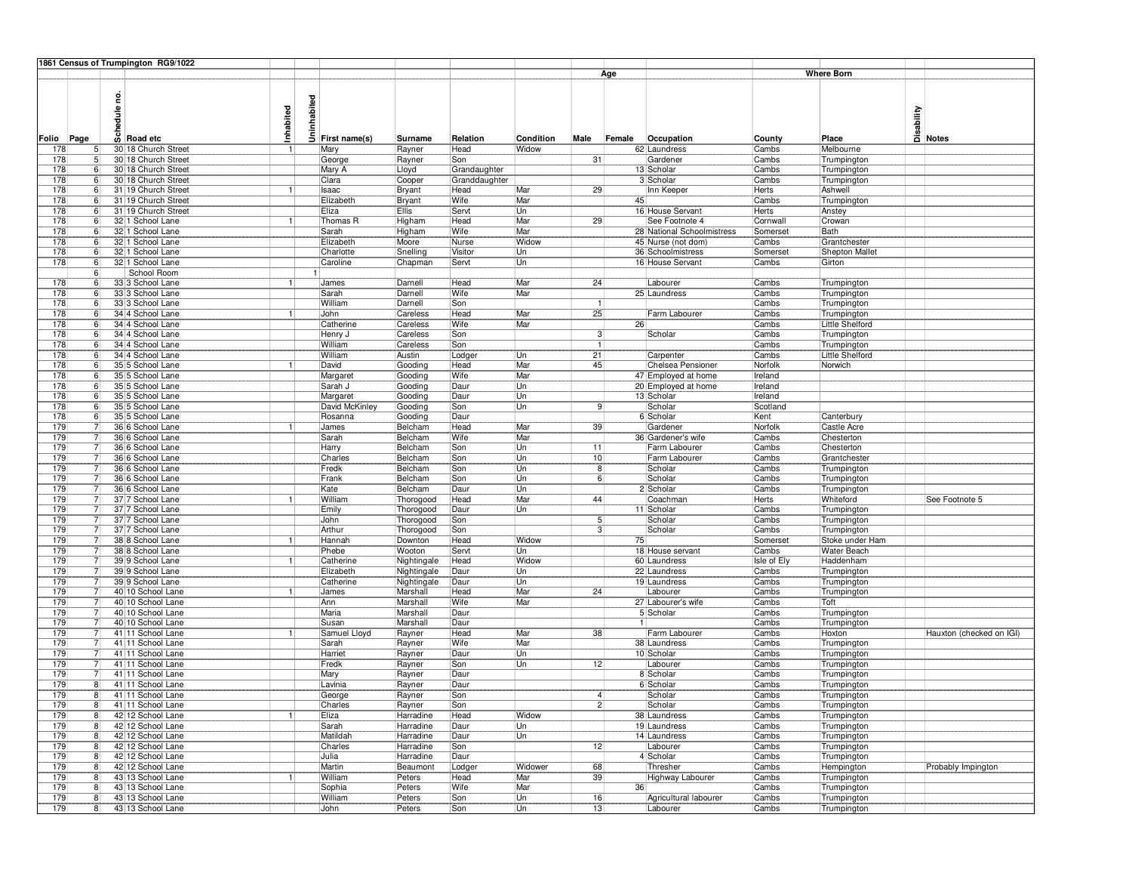|               |                                  | 1861 Census of Trumpington RG9/1022        |              |             |                    |                         |               |           |                      |        |                              |                 |                             |                                   |
|---------------|----------------------------------|--------------------------------------------|--------------|-------------|--------------------|-------------------------|---------------|-----------|----------------------|--------|------------------------------|-----------------|-----------------------------|-----------------------------------|
|               |                                  |                                            |              |             |                    |                         |               |           |                      | Age    |                              |                 | <b>Where Born</b>           |                                   |
|               |                                  |                                            |              |             |                    |                         |               |           |                      |        |                              |                 |                             |                                   |
|               |                                  | g                                          |              |             |                    |                         |               |           |                      |        |                              |                 |                             |                                   |
|               |                                  | edule                                      |              | Uninhabited |                    |                         |               |           |                      |        |                              |                 |                             | Disability<br>Disability<br>Notes |
|               |                                  |                                            |              |             |                    |                         |               |           |                      |        |                              |                 |                             |                                   |
|               |                                  |                                            | Inhabited    |             |                    |                         |               |           |                      |        |                              |                 |                             |                                   |
| Page<br>Folio |                                  | န့်<br>Road etc                            |              |             | First name(s)      | Surname                 | Relation      | Condition | Male                 | Female | Occupation                   | County          | Place                       |                                   |
| 178           | 5                                | 30 18 Church Street                        |              |             | Mary               | Rayner                  | Head          | Widow     |                      |        | 62 Laundress                 | Cambs           | Melbourne                   |                                   |
| 178           | 5                                | 30 18 Church Street                        |              |             | George             | Rayner                  | Son           |           | 31                   |        | Gardener                     | Cambs           | Trumpington                 |                                   |
| 178           | 6                                | 30 18 Church Street                        |              |             | Mary A             | Lloyd                   | Grandaughter  |           |                      |        | 13 Scholar                   | Cambs           | Trumpington                 |                                   |
| 178<br>178    | 6<br>6                           | 30 18 Church Street<br>31 19 Church Street |              |             | Clara<br>Isaac     | Cooper                  | Granddaughter | Mar       | 29                   |        | 3 Scholar<br>Inn Keeper      | Cambs<br>Herts  | Trumpington<br>Ashwell      |                                   |
| 178           | 6                                | 31 19 Church Street                        |              |             | Elizabeth          | Bryant<br>Bryant        | Head<br>Wife  | Mar       |                      | 45     |                              | Cambs           | Trumpington                 |                                   |
| 178           | 6                                | 31 19 Church Street                        |              |             | Eliza              | Ellis                   | Servt         | Un        |                      |        | 16 House Servant             | Herts           | Anstey                      |                                   |
| 178           | 6                                | 32 1 School Lane                           |              |             | Thomas R           | Higham                  | Head          | Mar       | 29                   |        | See Footnote 4               | Cornwall        | Crowan                      |                                   |
| 178           | $6^{8}$                          | 32 1 School Lane                           |              |             | Sarah              | Higham                  | Wife          | Mar       |                      |        | 28 National Schoolmistress   | Somerset        | Bath                        |                                   |
| 178           | 6 <sup>1</sup>                   | 32 1 School Lane                           |              |             | Elizabeth          | Moore                   | Nurse         | Widow     |                      |        | 45 Nurse (not dom)           | Cambs           | Grantchester                |                                   |
| 178           | 6                                | 32 1 School Lane                           |              |             | Charlotte          | Snelling                | Visitor       | Un        |                      |        | 36 Schoolmistress            | Somerset        | Shepton Mallet              |                                   |
| 178           | 6                                | 32 1 School Lane                           |              |             | Caroline           | Chapman                 | Servt         | Un        |                      |        | 16 House Servant             | Cambs           | Girton                      |                                   |
|               | 6                                | School Room                                |              |             |                    |                         |               |           |                      |        |                              |                 |                             |                                   |
| 178           | 6                                | 33 3 School Lane                           |              |             | James              | Darnell                 | Head          | Mar       | 24                   |        | Labourer                     | Cambs           | Trumpington                 |                                   |
| 178           | 6                                | 33 3 School Lane                           |              |             | Sarah              | Darnell                 | Wife          | Mar       |                      |        | 25 Laundress                 | Cambs           | Trumpington                 |                                   |
| 178           | 6                                | 33 3 School Lane                           |              |             | William            | Darnell                 | Son           |           |                      |        |                              | Cambs           | Trumpington                 |                                   |
| 178           | 6 <sup>1</sup>                   | 34 4 School Lane                           |              |             | John               | Careless                | Head          | Mar       | 25                   |        | Farm Labourer                | Cambs           | Trumpington                 |                                   |
| 178           | 6                                | 34 4 School Lane                           |              |             | Catherine          | Careless                | Wife          | Mar       |                      | 26     |                              | Cambs           | Little Shelford             |                                   |
| 178<br>178    | 6<br>$6^{8}$                     | 34 4 School Lane<br>34 4 School Lane       |              |             | Henry J<br>William | Careless<br>Careless    | Son<br>Son    |           | 3 <br>$\mathbf{1}$   |        | Scholar                      | Cambs<br>Cambs  | Trumpington<br>Trumpington  |                                   |
| 178           | 6                                | 34 4 School Lane                           |              |             | William            | Austin                  | Lodger        | Un        | $\overline{21}$      |        | Carpenter                    | Cambs           | Little Shelford             |                                   |
| 178           | 6                                | 35 5 School Lane                           |              |             | David              | Gooding                 | Head          | Mar       | 45                   |        | Chelsea Pensioner            | Norfolk         | Norwich                     |                                   |
| 178           | 6                                | 35 5 School Lane                           |              |             | Margaret           | Gooding                 | Wife          | Mar       |                      |        | 47 Employed at home          | Ireland         |                             |                                   |
| 178           | 6                                | 35 5 School Lane                           |              |             | Sarah J            | Gooding                 | Daur          | Un        |                      |        | 20 Employed at home          | Ireland         |                             |                                   |
| 178           | 6                                | 35 5 School Lane                           |              |             | Margaret           | Gooding                 | Daur          | Un        |                      |        | 13 Scholar                   | Ireland         |                             |                                   |
| 178           | 6                                | 35 5 School Lane                           |              |             | David McKinley     | Gooding                 | Son           | Un        | 9                    |        | Scholar                      | Scotland        |                             |                                   |
| 178           | 6                                | 35 5 School Lane                           |              |             | Rosanna            | Gooding                 | Daur          |           |                      |        | 6 Scholar                    | Kent            | Canterbury                  |                                   |
| 179           | 7                                | 36 6 School Lane                           |              |             | James              | Belcham                 | Head          | Mar       | 39                   |        | Gardener                     | Norfolk         | Castle Acre                 |                                   |
| 179           | -7                               | 36 6 School Lane                           |              |             | Sarah              | Belcham                 | Wife          | Mar       |                      |        | 36 Gardener's wife           | Cambs           | Chesterton                  |                                   |
| 179           | 7                                | 36 6 School Lane                           |              |             | Harry              | Belcham                 | Son           | Un        | 11                   |        | Farm Labourer                | Cambs           | Chesterton                  |                                   |
| 179<br>179    |                                  | 36 6 School Lane<br>36 6 School Lane       |              |             | Charles<br>Fredk   | Belcham<br>Belcham      | Son<br>Son    | Un<br>Un  | 10 <sub>1</sub><br>8 |        | Farm Labourer<br>Scholar     | Cambs<br> Cambs | Grantchester<br>Trumpington |                                   |
| 179           | 7                                | 36 6 School Lane                           |              |             | Frank              | Belcham                 | Son           | Un        | 6                    |        | Scholar                      | Cambs           | Trumpington                 |                                   |
| 179           | 7                                | 36 6 School Lane                           |              |             | Kate               | Belcham                 | Daur          | Un        |                      |        | 2 Scholar                    | Cambs           | Trumpington                 |                                   |
| 179           | $\overline{7}$                   | 37 7 School Lane                           |              |             | William            | Thorogood               | Head          | Mar       | 44                   |        | Coachman                     | Herts           | Whiteford                   | See Footnote 5                    |
| 179           |                                  | 37 7 School Lane                           |              |             | Emily              | Thorogood               | Daur          | Un        |                      |        | 11 Scholar                   | Cambs           | Trumpington                 |                                   |
| 179           |                                  | 37 7 School Lane                           |              |             | John               | Thorogood               | Son           |           | $\vert 5 \vert$      |        | Scholar                      | Cambs           | Trumpington                 |                                   |
| 179           |                                  | 37 7 School Lane                           |              |             | Arthur             | Thorogood               | Son           |           |                      |        | Scholar                      | Cambs           | Trumpington                 |                                   |
| 179           | 7                                | 38 8 School Lane                           |              |             | Hannah             | Downton                 | Head          | Widow     |                      | 75     |                              | Somerset        | Stoke under Ham             |                                   |
| 179           | 7                                | 38 8 School Lane                           |              |             | Phebe              | Wooton                  | Servt         | Un        |                      |        | 18 House servant             | Cambs           | Water Beach                 |                                   |
| 179<br>179    |                                  | 39 9 School Lane                           | $\mathbf{1}$ |             | Catherine          | Nightingale             | Head          | Widow     |                      |        | 60 Laundress                 | Isle of Ely     | Haddenham                   |                                   |
| 179           | 7<br>7                           | 39 9 School Lane<br>39 9 School Lane       |              |             | Elizabeth          | Nightingale             | Daur          | Un<br>Un  |                      |        | 22 Laundress                 | Cambs           | Trumpington                 |                                   |
| 179           | -7                               | 40 10 School Lane                          |              |             | Catherine<br>James | Nightingale<br>Marshall | Daur<br>Head  | Mar       | 24                   |        | 19 Laundress<br>Labourer     | Cambs<br>Cambs  | Trumpington<br>Trumpington  |                                   |
| 179           | 7                                | 40 10 School Lane                          |              |             | Ann                | Marshall                | Wife          | Mar       |                      |        | 27 Labourer's wife           | Cambs           | Toft                        |                                   |
| 179           | 7                                | 40 10 School Lane                          |              |             | Maria              | Marshall                | Daur          |           |                      |        | 5 Scholar                    | Cambs           | Trumpington                 |                                   |
| 179           | 7                                | 40 10 School Lane                          |              |             | Susan              | Marshall                | Daur          |           |                      | 1      |                              | Cambs           | Trumpington                 |                                   |
| 179           | 7                                | 41 11 School Lane                          |              |             | Samuel Lloyd       | Rayner                  | Head          | Mar       | 38                   |        | Farm Labourer                | Cambs           | Hoxton                      | Hauxton (checked on IGI)          |
| 179           | 7                                | 41 11 School Lane                          |              |             | Sarah              | Rayner                  | Wife          | Mar       |                      |        | 38 Laundress                 | Cambs           | Trumpington                 |                                   |
| 179           | $\overline{7}$                   | 41 11 School Lane                          |              |             | Harriet            | Rayner                  | Daur          | Un        |                      |        | 10 Scholar                   | Cambs           | Trumpington                 |                                   |
| 179           | 7                                | 41 11 School Lane                          |              |             | Fredk              | Rayner                  | Son           | Un        | 12                   |        | Labourer                     | Cambs           | Trumpington                 |                                   |
| 179           |                                  | 41 11 School Lane                          |              |             | Mary               | Rayner                  | Daur          |           |                      |        | 8 Scholar                    | Cambs           | Trumpington                 |                                   |
| 179           | 8                                | 41 11 School Lane                          |              |             | Lavinia            | Rayner                  | Daur          |           |                      |        | 6 Scholar                    | Cambs           | Trumpington                 |                                   |
| 179           | 8 <sup>1</sup>                   | 41 11 School Lane                          |              |             | George             | Rayner                  | Son           |           | 4 <sup>1</sup>       |        | Scholar                      | Cambs           | Trumpington                 |                                   |
| 179           | 8 <sub>1</sub>                   | 41 11 School Lane                          |              |             | Charles            | Rayner                  | Son           |           | $2\}$                |        | Scholar                      | Cambs           | Trumpington                 |                                   |
| 179<br>179    | 8 <sup>1</sup><br>8 <sup>1</sup> | 42 12 School Lane<br>42 12 School Lane     | $\mathbf{1}$ |             | Eliza              | Harradine<br>Harradine  | Head          | Widow     |                      |        | 38 Laundress                 | Cambs           | Trumpington                 |                                   |
| 179           | 8 <sup>1</sup>                   | 42 12 School Lane                          |              |             | Sarah<br>Matildah  | Harradine               | Daur<br>Daur  | Un<br>Un  |                      |        | 19 Laundress<br>14 Laundress | Cambs<br>Cambs  | Trumpington<br>Trumpington  |                                   |
| 179           | 8                                | 42 12 School Lane                          |              |             | Charles            | Harradine               | Son           |           | 12                   |        | Labourer                     | Cambs           | Trumpington                 |                                   |
| 179           | 8 <sub>l</sub>                   | 42 12 School Lane                          |              |             | Julia              | Harradine               | Daur          |           |                      |        | 4 Scholar                    | Cambs           | Trumpington                 |                                   |
| 179           | 8 <sup>1</sup>                   | 42 12 School Lane                          |              |             | Martin             | Beaumont                | Lodger        | Widower   | 68                   |        | Thresher                     | Cambs           | Hempington                  | Probably Impington                |
| 179           | 8 <sup>1</sup>                   | 43 13 School Lane                          |              |             | William            | Peters                  | Head          | Mar       | 39                   |        | Highway Labourer             | Cambs           | Trumpington                 |                                   |
| 179           | 8                                | 43 13 School Lane                          |              |             | Sophia             | Peters                  | Wife          | Mar       |                      | 36     |                              | Cambs           | Trumpington                 |                                   |
| 179           | 8 <sub>l</sub>                   | 43 13 School Lane                          |              |             | William            | Peters                  | Son           | Un        | 16                   |        | Agricultural labourer        | Cambs           | Trumpington                 |                                   |
| 179           | 8 <sup>1</sup>                   | 43 13 School Lane                          |              |             | John               | Peters                  | Son           | Un        | 13                   |        | Labourer                     | Cambs           | Trumpington                 |                                   |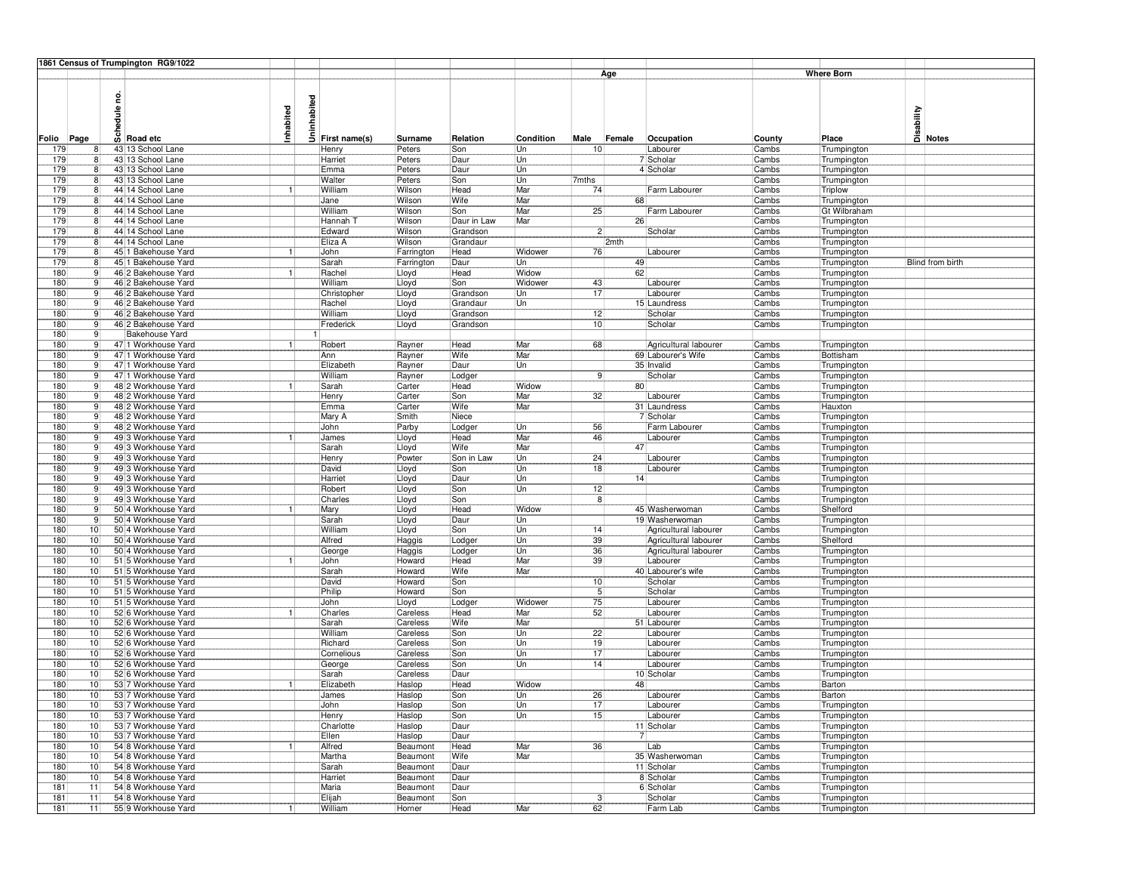|             |          | 1861 Census of Trumpington RG9/1022        |           |             |                  |                          |                  |              |                |                |                                         |                |                            |                                     |
|-------------|----------|--------------------------------------------|-----------|-------------|------------------|--------------------------|------------------|--------------|----------------|----------------|-----------------------------------------|----------------|----------------------------|-------------------------------------|
|             |          |                                            |           |             |                  |                          |                  |              |                | Age            |                                         |                | <b>Where Born</b>          |                                     |
| Folio       | Page     | g<br>edule<br>$\overline{8}$ Road etc      | Inhabited | Uninhabited | First name(s)    | Surname                  | Relation         | Condition    | Male           | Female         | Occupation                              | County         | Place                      | <b>Sability</b><br>Disa<br>Di Notes |
| 179         |          | 43 13 School Lane                          |           |             | Henry            | Peters                   | Son              | Un           | 10             |                | Labourer                                | Cambs          | Trumpington                |                                     |
| 179         |          | 43 13 School Lane                          |           |             | Harriet          | Peters                   | Daur             | Un           |                |                | 7 Scholar                               | Cambs          | Trumpington                |                                     |
| 179         |          | 43 13 School Lane                          |           |             | Emma             | Peters                   | Daur             | Un           |                |                | 4 Scholar                               | Cambs          | Trumpington                |                                     |
| 179         | 8        | 43 13 School Lane                          |           |             | Walter           | Peters                   | Son              | Un           | 7mths          |                |                                         | Cambs          | Trumpington                |                                     |
| 179         | -8       | 44 14 School Lane                          | 11        |             | William          | Wilson                   | Head             | Mar          | 74             |                | Farm Labourer                           | Cambs          | Triplow                    |                                     |
| 179         | ۶        | 44 14 School Lane                          |           |             | Jane             | Wilson                   | Wife             | Mar          |                | 68             |                                         | Cambs          | Trumpington                |                                     |
| 179         |          | 44 14 School Lane                          |           |             | William          | Wilson                   | Son              | Mar          | 25             |                | Farm Labourer                           | Cambs          | Gt Wilbraham               |                                     |
| 179         | ۶        | 44 14 School Lane                          |           |             | Hannah 1         | Wilson                   | Daur in Law      | Mar          |                | 26             |                                         | Cambs          | Trumpington                |                                     |
| 179         | 8<br>8   | 44 14 School Lane                          |           |             | Edward           | Wilson                   | Grandson         |              | 2              |                | Scholar                                 | Cambs          | Trumpington                |                                     |
| 179<br>179  | ۶        | 44 14 School Lane<br>45 1 Bakehouse Yard   | 1         |             | Eliza A<br>John  | Wilson                   | Grandaur<br>Head | Widower      | 76             | 2mth           | Labourer                                | Cambs<br>Cambs | Trumpington                |                                     |
| 179         |          | 45 1 Bakehouse Yard                        |           |             | Sarah            | Farrington<br>Farrington | Daur             | Un           |                | 49             |                                         | Cambs          | Trumpington<br>Trumpington | <b>Blind from birth</b>             |
| 180         |          | 46 2 Bakehouse Yard                        | 1         |             | Rachel           | Lloyd                    | Head             | Widow        |                | 62             |                                         | Cambs          | Trumpington                |                                     |
| 180         | 9        | 46 2 Bakehouse Yard                        |           |             | William          | Lloyd                    | Son              | Widower      | 43             |                | Labourer                                | Cambs          | Trumpington                |                                     |
| 180         | c        | 46 2 Bakehouse Yard                        |           |             | Christopher      | Lloyd                    | Grandson         | Un           | 17             |                | Labourer                                | Cambs          | Trumpington                |                                     |
| 180         | c        | 46 2 Bakehouse Yard                        |           |             | Rachel           | Lloyd                    | Grandaur         | Un           |                |                | 15 Laundress                            | Cambs          | Trumpington                |                                     |
| 180         |          | 46 2 Bakehouse Yard                        |           |             | William          | Lloyd                    | Grandson         |              | 12             |                | Scholar                                 | Cambs          | Trumpington                |                                     |
| 180         | c        | 46 2 Bakehouse Yard                        |           |             | Frederick        | Lloyd                    | Grandson         |              | 10             |                | Scholar                                 | Cambs          | Trumpington                |                                     |
| 180         | ċ        | Bakehouse Yard                             |           |             |                  |                          |                  |              |                |                |                                         |                |                            |                                     |
| 180         | -9       | 47 1 Workhouse Yard                        | 11        |             | Robert           | Rayner                   | Head             | Mar          | 68             |                | Agricultural labourer                   | Cambs          | Trumpington                |                                     |
| 180         | c        | 47 1 Workhouse Yard                        |           |             | Ann              | Rayner                   | Wife             | Mar          |                |                | 69 Labourer's Wife                      | Cambs          | Bottisham                  |                                     |
| 180         |          | 47 1 Workhouse Yard                        |           |             | Elizabeth        | Rayner                   | Daur             | Un           |                |                | 35 Invalid                              | Cambs          | Trumpington                |                                     |
| 180         |          | 47 1 Workhouse Yard                        |           |             | William          | Rayner                   | Lodger           |              | 9              |                | Scholar                                 | Cambs          | Trumpington                |                                     |
| 180 <br>180 | 9<br>9   | 48 2 Workhouse Yard<br>48 2 Workhouse Yard |           |             | Sarah<br>Henry   | Carter<br>Carter         | Head<br>Son      | Widow<br>Mar | 32             | 80             | Labourer                                | Cambs<br>Cambs | Trumpington<br>Trumpington |                                     |
| 180         | c        | 48 2 Workhouse Yard                        |           |             | Emma             | Carter                   | Wife             | Mar          |                |                | 31 Laundress                            | Cambs          | Hauxton                    |                                     |
| 180         |          | 48 2 Workhouse Yard                        |           |             | Mary A           | Smith                    | Niece            |              |                |                | 7 Scholar                               | Cambs          | Trumpington                |                                     |
| 180         | c        | 48 2 Workhouse Yard                        |           |             | John             | Parby                    | Lodger           | Un           | 56             |                | Farm Labourer                           | Cambs          | Trumpington                |                                     |
| 180         | c        | 49 3 Workhouse Yard                        |           |             | James            | Lloyd                    | Head             | Mar          | 46             |                | Labourer                                | Cambs          | Trumpington                |                                     |
| 180         | <b>c</b> | 49 3 Workhouse Yard                        |           |             | Sarah            | Lloyd                    | Wife             | Mar          |                | 47             |                                         | Cambs          | Trumpington                |                                     |
| 180         | c        | 49 3 Workhouse Yard                        |           |             | Henry            | Powter                   | Son in Law       | Un           | 24             |                | Labourer                                | Cambs          | Trumpington                |                                     |
| 180         |          | 49 3 Workhouse Yard                        |           |             | David            | Lloyd                    | Son              | Un           | 18             |                | Labourer                                | Cambs          | Trumpington                |                                     |
| 180         |          | 49 3 Workhouse Yard                        |           |             | Harriet          | Lloyd                    | Daur             | Un           |                | 14             |                                         | Cambs          | Trumpington                |                                     |
| 180         | ċ        | 49 3 Workhouse Yard                        |           |             | Robert           | Lloyd                    | Son              | Un           | 12             |                |                                         | Cambs          | Trumpington                |                                     |
| 180         | -9       | 49 3 Workhouse Yard                        |           |             | Charles          | Lloyd                    | Son              |              | 8              |                |                                         | Cambs          | Trumpington                |                                     |
| 180         | c        | 50 4 Workhouse Yard                        | 1         |             | Mary             | Lloyd                    | Head             | Widow        |                |                | 45 Washerwoman                          | Cambs          | Shelford                   |                                     |
| 180<br>180  | 10       | 50 4 Workhouse Yard<br>50 4 Workhouse Yard |           |             | Sarah<br>William | Lloyd<br>Lloyd           | Daur             | Un<br>Un     |                |                | 19 Washerwoman<br>Agricultural labourer | Cambs          | Trumpington                |                                     |
| 180         | 10       | 50 4 Workhouse Yard                        |           |             | Alfred           | Haggis                   | Son<br>Lodger    | Un           | 14<br>39       |                | Agricultural labourer                   | Cambs<br>Cambs | Trumpington<br>Shelford    |                                     |
| 180         | 10       | 50 4 Workhouse Yard                        |           |             | George           | Haggis                   | Lodger           | Un           | 36             |                | Agricultural labourer                   | Cambs          | Trumpington                |                                     |
| 180         | 10       | 51 5 Workhouse Yard                        | 1         |             | John             | Howard                   | Head             | Mar          | 39             |                | Labourer                                | Cambs          | Trumpington                |                                     |
| 180         | 10       | 51 5 Workhouse Yard                        |           |             | Sarah            | Howard                   | Wife             | Mar          |                |                | 40 Labourer's wife                      | Cambs          | Trumpington                |                                     |
| 180         | 10       | 51 5 Workhouse Yard                        |           |             | David            | Howard                   | Son              |              | 10             |                | Scholar                                 | Cambs          | Trumpington                |                                     |
| 180         | 10       | 51 5 Workhouse Yard                        |           |             | Philip           | Howard                   | Son              |              | 5 <sub>l</sub> |                | Scholar                                 | Cambs          | Trumpington                |                                     |
| 180         | 10       | 51 5 Workhouse Yard                        |           |             | John             | Lloyd                    | Lodger           | Widower      | 75             |                | Labourer                                | Cambs          | Trumpington                |                                     |
| 180         | 10       | 52 6 Workhouse Yard                        | 1         |             | Charles          | Careless                 | Head             | Mar          | 52             |                | Labourer                                | Cambs          | Trumpington                |                                     |
| 180         | 10       | 52 6 Workhouse Yard                        |           |             | Sarah            | Careless                 | Wife             | Mar          |                |                | 51 Labourer                             | Cambs          | Trumpington                |                                     |
| 180         | 10       | 52 6 Workhouse Yard                        |           |             | William          | Careless                 | Son              | Un           | 22             |                | Labourer                                | Cambs          | Trumpington                |                                     |
| 180         | 10       | 52 6 Workhouse Yard                        |           |             | Richard          | Careless                 | Son              | Un           | 19             |                | Labourer                                | Cambs          | Trumpington                |                                     |
| 180         | 10       | 52 6 Workhouse Yard                        |           |             | Cornelious       | Careless                 | Son              | Un           | 17             |                | Labourer                                | Cambs          | Trumpington                |                                     |
| 180<br>180  | 10<br>10 | 52 6 Workhouse Yard<br>52 6 Workhouse Yard |           |             | George<br>Sarah  | Careless                 | Son<br>Daur      | Un           | 14             |                | Labourer                                | Cambs<br>Cambs | Trumpington                |                                     |
| 180         | 10       | 53 7 Workhouse Yard                        | 1         |             | Elizabeth        | Careless<br>Haslop       | Head             | Widow        |                | 48             | 10 Scholar                              | Cambs          | Trumpington<br>Barton      |                                     |
| 180         | 10       | 53 7 Workhouse Yard                        |           |             | James            | Haslop                   | Son              | Un           | 26             |                | Labourer                                | Cambs          | Barton                     |                                     |
| 180         | 10       | 53 7 Workhouse Yard                        |           |             | John             | Haslop                   | Son              | Un           | 17             |                | Labourer                                | Cambs          | Trumpington                |                                     |
| 180         | 10       | 53 7 Workhouse Yard                        |           |             | Henry            | Haslop                   | Son              | Un           | 15             |                | Labourer                                | Cambs          | Trumpington                |                                     |
| 180         | 10       | 53 7 Workhouse Yard                        |           |             | Charlotte        | Haslop                   | Daur             |              |                |                | 11 Scholar                              | Cambs          | Trumpington                |                                     |
| 180         | 10       | 53 7 Workhouse Yard                        |           |             | Ellen            | Haslop                   | Daur             |              |                | $\overline{7}$ |                                         | Cambs          | Trumpington                |                                     |
| 180         | 10       | 54 8 Workhouse Yard                        |           |             | Alfred           | Beaumont                 | Head             | Mar          | 36             |                | Lab                                     | Cambs          | Trumpington                |                                     |
| 180         | 10       | 54 8 Workhouse Yard                        |           |             | Martha           | Beaumont                 | Wife             | Mar          |                |                | 35 Washerwoman                          | Cambs          | Trumpington                |                                     |
| 180         | 10       | 54 8 Workhouse Yard                        |           |             | Sarah            | Beaumont                 | Daur             |              |                |                | 11 Scholar                              | Cambs          | Trumpington                |                                     |
| 180         | 10       | 54 8 Workhouse Yard                        |           |             | Harriet          | Beaumont                 | Daur             |              |                |                | 8 Scholar                               | Cambs          | Trumpington                |                                     |
| 181         | 11       | 54 8 Workhouse Yard                        |           |             | Maria            | Beaumont                 | Daur             |              |                |                | 6 Scholar                               | Cambs          | Trumpington                |                                     |
| 181         | 11       | 54 8 Workhouse Yard                        |           |             | Elijah           | Beaumont                 | Son              |              | 3 <sup>3</sup> |                | Scholar                                 | Cambs          | Trumpington                |                                     |
| 181         | 11       | 55 9 Workhouse Yard                        | 11        |             | William          | Horner                   | Head             | Mar          | 62             |                | Farm Lab                                | Cambs          | Trumpington                |                                     |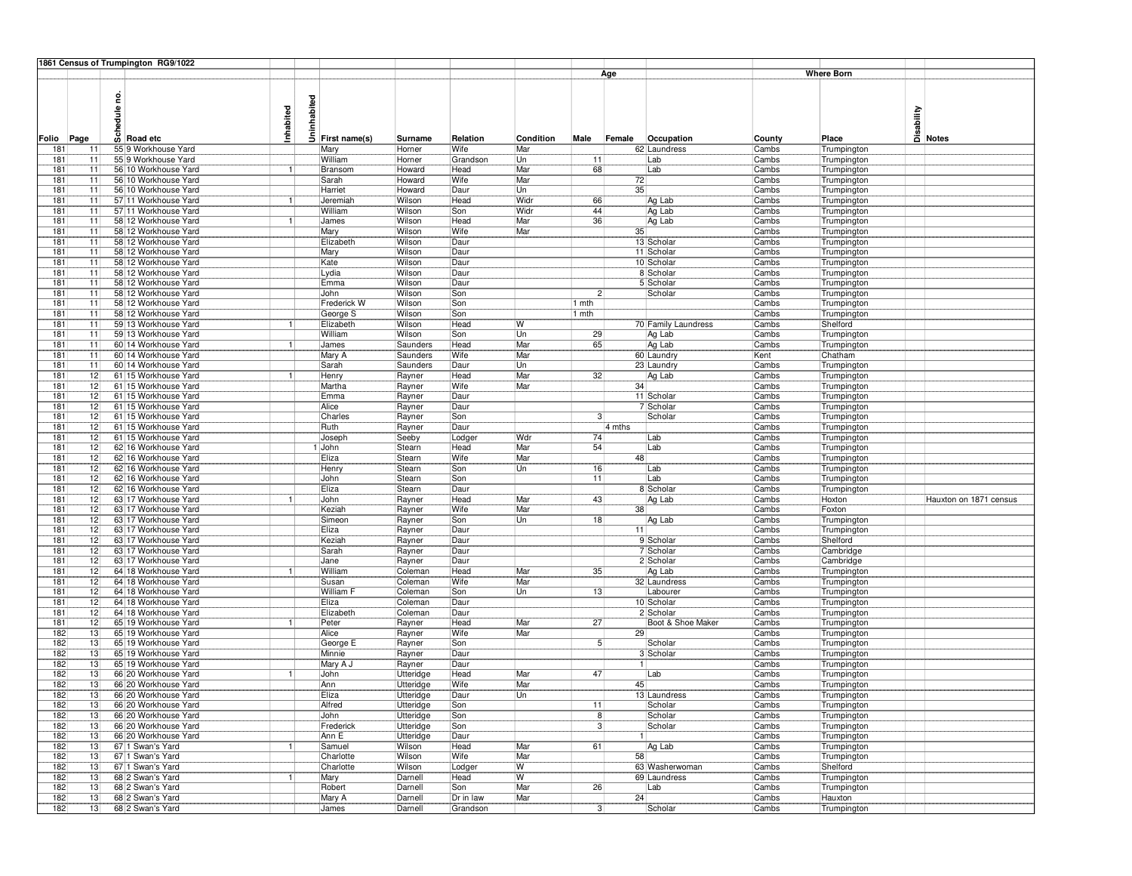|            |                       | 1861 Census of Trumpington RG9/1022          |              |             |                    |                    |              |            |                 |                 |                      |                |                            |                                     |
|------------|-----------------------|----------------------------------------------|--------------|-------------|--------------------|--------------------|--------------|------------|-----------------|-----------------|----------------------|----------------|----------------------------|-------------------------------------|
|            |                       |                                              |              |             |                    |                    |              |            |                 | Age             |                      |                | <b>Where Born</b>          |                                     |
| Folio      | Page                  | g<br>edule<br>$\overline{8}$ Road etc        | Inhabited    | Uninhabited | First name(s)      | Surname            | Relation     | Condition  | Male            | Female          | Occupation           | County         | Place                      | <b>Sability</b><br>Disa<br>Di Notes |
| 181        | 11                    | 55 9 Workhouse Yard                          |              |             | Mary               | Horner             | Wife         | Mar        |                 |                 | 62 Laundress         | Cambs          | Trumpington                |                                     |
| 181        | 11                    | 55 9 Workhouse Yard                          |              |             | William            | Horner             | Grandson     | Un         | 11              |                 | Lab                  | Cambs          | Trumpington                |                                     |
| 181        | 11                    | 56 10 Workhouse Yard                         | $\mathbf{1}$ |             | Bransom            | Howard             | Head         | Mar        | 68              |                 | Lab                  | Cambs          | Trumpington                |                                     |
| 181        | 11                    | 56 10 Workhouse Yard                         |              |             | Sarah              | Howard             | Wife         | Mar        |                 | 72              |                      | Cambs          | Trumpington                |                                     |
| 181        | 11                    | 56 10 Workhouse Yard                         |              |             | Harriet            | Howard             | Daur         | Un         |                 | 35              |                      | Cambs          | Trumpington                |                                     |
| 181        | 11                    | 57 11 Workhouse Yard                         | 1            |             | Jeremiah           | Wilson             | Head         | Widr       | 66              |                 | Ag Lab               | Cambs          | Trumpington                |                                     |
| 181        | 11                    | 57 11 Workhouse Yard                         |              |             | William            | Wilson             | Son          | Widr       | 44              |                 | Ag Lab               | Cambs          | Trumpington                |                                     |
| 181        | 11                    | 58 12 Workhouse Yard                         | $\vert$      |             | James              | Wilson             | Head         | Mar<br>Mar | 36              |                 | Ag Lab               | Cambs          | Trumpington                |                                     |
| 181<br>181 | 11<br>$\overline{11}$ | 58 12 Workhouse Yard<br>58 12 Workhouse Yard |              |             | Mary<br>Elizabeth  | Wilson<br>Wilson   | Wife<br>Daur |            |                 | 35 <sup>2</sup> | 13 Scholar           | Cambs<br>Cambs | Trumpington<br>Trumpington |                                     |
| 181        | 11                    | 58 12 Workhouse Yard                         |              |             | Mary               | Wilson             | Daur         |            |                 |                 | 11 Scholar           | Cambs          | Trumpington                |                                     |
| 181        | 11                    | 58 12 Workhouse Yard                         |              |             | Kate               | Wilson             | Daur         |            |                 |                 | 10 Scholar           | Cambs          | Trumpington                |                                     |
| 181        | 11                    | 58 12 Workhouse Yard                         |              |             | Lydia              | Wilson             | Daur         |            |                 |                 | 8 Scholar            | Cambs          | Trumpington                |                                     |
| 181        | 11                    | 58 12 Workhouse Yard                         |              |             | Emma               | Wilson             | Daur         |            |                 |                 | 5 Scholar            | Cambs          | Trumpington                |                                     |
| 181        | 11                    | 58 12 Workhouse Yard                         |              |             | John               | Wilson             | Son          |            | 2!              |                 | Scholar              | Cambs          | Trumpington                |                                     |
| 181        | 11                    | 58 12 Workhouse Yard                         |              |             | Frederick W        | Wilson             | Son          |            | 1 mth           |                 |                      | Cambs          | Trumpington                |                                     |
| 181        | 11                    | 58 12 Workhouse Yard                         |              |             | George S           | Wilson             | Son          |            | l mth           |                 |                      | Cambs          | Trumpington                |                                     |
| 181        | 11                    | 59 13 Workhouse Yard                         | 1            |             | Elizabeth          | Wilson             | Head         | W          |                 |                 | 70 Family Laundress  | Cambs          | Shelford                   |                                     |
| 181        | 11                    | 59 13 Workhouse Yard                         |              |             | William            | Wilson             | Son          | Un         | 29              |                 | Ag Lab               | Cambs          | Trumpington                |                                     |
| 181        | 71                    | 60 14 Workhouse Yard                         | 11           |             | James              | Saunders           | Head         | Mar        | 65              |                 | Ag Lab               | Cambs          | Trumpington                |                                     |
| 181        | 11                    | 60 14 Workhouse Yard                         |              |             | Mary A             | Saunders           | Wife         | Mar        |                 |                 | 60 Laundry           | Kent           | Chatham                    |                                     |
| 181<br>181 | 11<br>12              | 60 14 Workhouse Yard<br>61 15 Workhouse Yard | 1            |             | Sarah              | Saunders           | Daur<br>Head | Un<br>Mar  | 32              |                 | 23 Laundry<br>Ag Lab | Cambs<br>Cambs | Trumpington                |                                     |
| 181        | $\overline{12}$       | 61 15 Workhouse Yard                         |              |             | Henry<br>Martha    | Rayner<br>Rayner   | Wife         | Mar        |                 | 34              |                      | Cambs          | Trumpington<br>Trumpington |                                     |
| 181        | 12                    | 61 15 Workhouse Yard                         |              |             | Emma               | Rayner             | Daur         |            |                 |                 | 11 Scholar           | Cambs          | Trumpington                |                                     |
| 181        | 12                    | 61 15 Workhouse Yard                         |              |             | Alice              | Rayner             | Daur         |            |                 |                 | 7 Scholar            | Cambs          | Trumpington                |                                     |
| 181        | 12                    | 61 15 Workhouse Yard                         |              |             | Charles            | Rayner             | Son          |            | 31              |                 | Scholar              | Cambs          | Trumpington                |                                     |
| 181        | 12                    | 61 15 Workhouse Yard                         |              |             | Ruth               | Rayner             | Daur         |            |                 | 4 mths          |                      | Cambs          | Trumpington                |                                     |
| 181        | 12                    | 61 15 Workhouse Yard                         |              |             | Joseph             | Seeby              | Lodger       | Wdr        | 74              |                 | Lab                  | Cambs          | Trumpington                |                                     |
| 181        | 12                    | 62 16 Workhouse Yard                         |              |             | John               | Stearn             | Head         | Mar        | 54              |                 | Lab                  | Cambs          | Trumpington                |                                     |
| 181        | 12                    | 62 16 Workhouse Yard                         |              |             | Eliza              | Stearn             | Wife         | Mar        |                 | 48              |                      | Cambs          | Trumpington                |                                     |
| 181        | $\overline{12}$       | 62 16 Workhouse Yard                         |              |             | Henry              | Stearn             | Son          | Un         | 16              |                 | Lab                  | Cambs          | Trumpington                |                                     |
| 181        | 12                    | 62 16 Workhouse Yard                         |              |             | John               | Stearn             | Son          |            | 11              |                 | Lab                  | Cambs          | Trumpington                |                                     |
| 181        | $\overline{12}$       | 62 16 Workhouse Yard                         |              |             | Eliza              | Stearn             | Daur         |            |                 |                 | 8 Scholar            | Cambs          | Trumpington                |                                     |
| 181        | 12                    | 63 17 Workhouse Yard<br>63 17 Workhouse Yard | 11           |             | John               | Rayner             | Head<br>Wife | Mar<br>Mar | 43              |                 | Ag Lab               | Cambs          | Hoxton                     | Hauxton on 1871 census              |
| 181<br>181 | 12<br>12              | 63 17 Workhouse Yard                         |              |             | Keziah<br>Simeon   | Rayner<br>Rayner   | Son          | Un         | 18              | 38              | Ag Lab               | Cambs<br>Cambs | Foxton<br>Trumpington      |                                     |
| 181        | 12                    | 63 17 Workhouse Yard                         |              |             | Eliza              | Rayner             | Daur         |            |                 | 11              |                      | Cambs          | Trumpington                |                                     |
| 181        | $\overline{12}$       | 63 17 Workhouse Yard                         |              |             | Keziah             | Rayner             | Daur         |            |                 |                 | 9 Scholar            | Cambs          | Shelford                   |                                     |
| 181        | 12                    | 63 17 Workhouse Yard                         |              |             | Sarah              | Rayner             | Daur         |            |                 |                 | 7 Scholar            | Cambs          | Cambridge                  |                                     |
| 181        | 12                    | 63 17 Workhouse Yard                         |              |             | Jane               | Rayner             | Daur         |            |                 |                 | 2 Scholar            | Cambs          | Cambridge                  |                                     |
| 181        | 12                    | 64 18 Workhouse Yard                         | -1           |             | William            | Coleman            | Head         | Mar        | 35 <sup>5</sup> |                 | Ag Lab               | Cambs          | Trumpington                |                                     |
| 181        | 12                    | 64 18 Workhouse Yard                         |              |             | Susan              | Coleman            | Wife         | Mar        |                 |                 | 32 Laundress         | Cambs          | Trumpington                |                                     |
| 181        | $\overline{12}$       | 64 18 Workhouse Yard                         |              |             | William F          | Coleman            | Son          | Un         | 13              |                 | Labourer             | Cambs          | Trumpington                |                                     |
| 181        | 12                    | 64 18 Workhouse Yard                         |              |             | Eliza              | Coleman            | Daur         |            |                 |                 | 10 Scholar           | Cambs          | Trumpington                |                                     |
| 181        | 12                    | 64 18 Workhouse Yard                         |              |             | Elizabeth          | Coleman            | Daur         |            |                 |                 | 2 Scholar            | Cambs          | Trumpington                |                                     |
| 181        | 12                    | 65 19 Workhouse Yard                         | -1           |             | Peter              | Rayner             | Head         | Mar        | 27              |                 | Boot & Shoe Maker    | Cambs          | Trumpington                |                                     |
| 182        | 13                    | 65 19 Workhouse Yard<br>65 19 Workhouse Yard |              |             | Alice              | Rayner             | Wife         | Mar        |                 | 29              |                      | Cambs          | Trumpington                |                                     |
| 182<br>182 | 13<br>13              | 65 19 Workhouse Yard                         |              |             | George E<br>Minnie | Rayner<br>Rayner   | Son<br>Daur  |            | 5 <sup>1</sup>  |                 | Scholar<br>3 Scholar | Cambs<br>Cambs | Trumpington<br>Trumpington |                                     |
| 182        | 13                    | 65 19 Workhouse Yard                         |              |             | Mary A J           | Rayner             | Daur         |            |                 | 1               |                      | Cambs          | Trumpington                |                                     |
| 182        | 13                    | 66 20 Workhouse Yard                         | -1.          |             | John               | Utteridge          | Head         | Mar        | 47              |                 | Lab                  | Cambs          | Trumpington                |                                     |
| 182        | 13                    | 66 20 Workhouse Yard                         |              |             | Ann                | Utteridge          | Wife         | Mar        |                 | 45 <sup>2</sup> |                      | Cambs          | Trumpington                |                                     |
| 182        | 13                    | 66 20 Workhouse Yard                         |              |             | Eliza              | Utteridge          | Daur         | Un         |                 |                 | 13 Laundress         | Cambs          | Trumpington                |                                     |
| 182        | 13                    | 66 20 Workhouse Yard                         |              |             | Alfred             | Utteridge          | Son          |            | 11              |                 | Scholar              | Cambs          | Trumpington                |                                     |
| 182        | 13                    | 66 20 Workhouse Yard                         |              |             | John               | Utteridge          | Son          |            | 8 <sup>1</sup>  |                 | Scholar              | Cambs          | Trumpington                |                                     |
| 182        | 13                    | 66 20 Workhouse Yard                         |              |             | Frederick          | Utteridge          | Son          |            | 3 <sup>1</sup>  |                 | Scholar              | Cambs          | Trumpington                |                                     |
| 182        | 13                    | 66 20 Workhouse Yard                         |              |             | Ann E              | Utteridge          | Daur         |            |                 | 1               |                      | Cambs          | Trumpington                |                                     |
| 182        | 13                    | 67 1 Swan's Yard                             |              |             | Samuel             | Wilson             | Head         | Mar        | 61              |                 | Ag Lab               | Cambs          | Trumpington                |                                     |
| 182        | 13                    | 67 1 Swan's Yard                             |              |             | Charlotte          | Wilson             | <b>Wife</b>  | Mar        |                 | 58              |                      | Cambs          | Trumpington                |                                     |
| 182        | 13                    | 67 1 Swan's Yard                             |              |             | Charlotte          | Wilson             | Lodger       | W          |                 |                 | 63 Washerwoman       | Cambs          | Shelford                   |                                     |
| 182<br>182 | $\overline{13}$<br>13 | 68 2 Swan's Yard<br>68 2 Swan's Yard         | 1            |             | Mary<br>Robert     | Darnell<br>Darnell | Head<br>Son  | W<br>Mar   | 26              |                 | 69 Laundress<br>Lab  | Cambs<br>Cambs | Trumpington<br>Trumpington |                                     |
| 182        | 13                    | 68 2 Swan's Yard                             |              |             | Mary A             | Darnell            | Dr in law    | Mar        |                 | 24              |                      | Cambs          | Hauxton                    |                                     |
| 182        | 13                    | 68 2 Swan's Yard                             |              |             | James              | Darnell            | Grandson     |            | $\overline{3}$  |                 | Scholar              | Cambs          | Trumpington                |                                     |
|            |                       |                                              |              |             |                    |                    |              |            |                 |                 |                      |                |                            |                                     |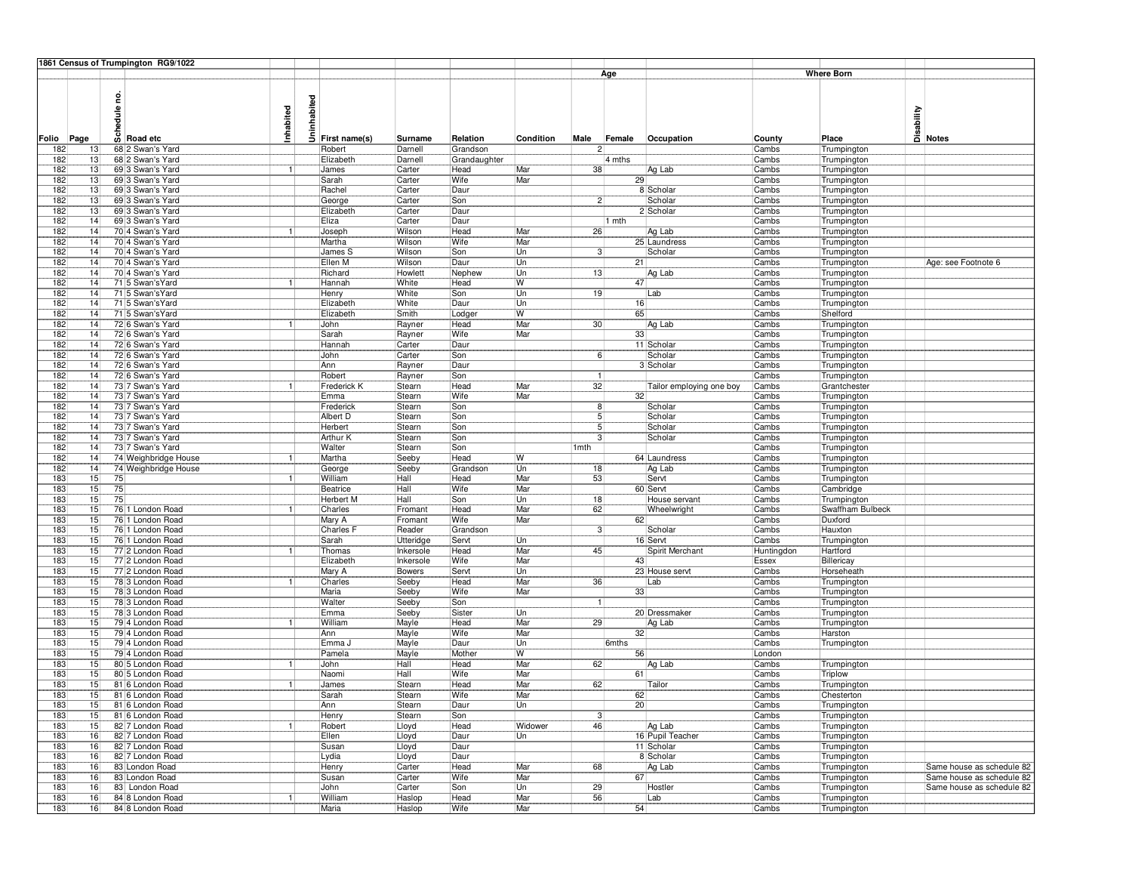|            |                       | 1861 Census of Trumpington RG9/1022  |           |          |                               |                        |                      |            |                  |                             |                       |                            |                                                        |
|------------|-----------------------|--------------------------------------|-----------|----------|-------------------------------|------------------------|----------------------|------------|------------------|-----------------------------|-----------------------|----------------------------|--------------------------------------------------------|
|            |                       |                                      |           |          |                               |                        |                      |            |                  | Age                         |                       | <b>Where Born</b>          |                                                        |
|            |                       |                                      |           |          |                               |                        |                      |            |                  |                             |                       |                            |                                                        |
|            |                       | g                                    |           |          |                               |                        |                      |            |                  |                             |                       |                            |                                                        |
|            |                       |                                      |           | nhabited |                               |                        |                      |            |                  |                             |                       |                            | Disability<br>Disa<br><mark>Di Notes</mark>            |
|            |                       | edule                                | Inhabited |          |                               |                        |                      |            |                  |                             |                       |                            |                                                        |
|            |                       |                                      |           | Ξ        |                               |                        |                      |            |                  |                             |                       |                            |                                                        |
| Folio Page |                       | $\overline{\omega}$ Road etc         |           |          | First name(s)                 | Surname                | Relation             | Condition  | Male             | Female<br>Occupation        | County                | Place                      |                                                        |
| 182        | 13                    | 68 2 Swan's Yard<br>68 2 Swan's Yard |           |          | Robert<br>Elizabeth           | Darnell<br>Darnell     | Grandson             |            | 2                | 4 mths                      | Cambs                 | Trumpington                |                                                        |
| 182<br>182 | 13<br>13              | 69 3 Swan's Yard                     |           |          | James                         | Carter                 | Grandaughter<br>Head | Mar        | 38               | Ag Lab                      | Cambs<br>Cambs        | Trumpington<br>Trumpington |                                                        |
| 182        | 13                    | 69 3 Swan's Yard                     |           |          | Sarah                         | Carter                 | Wife                 | Mar        |                  | 29                          | Cambs                 | Trumpington                |                                                        |
| 182        | 13                    | 69 3 Swan's Yard                     |           |          | Rachel                        | Carter                 | Daur                 |            |                  | 8 Scholar                   | Cambs                 | Trumpington                |                                                        |
| 182        | 13                    | 69 3 Swan's Yard                     |           |          | George                        | Carter                 | Son                  |            | 2                | Scholar                     | Cambs                 | Trumpington                |                                                        |
| 182        | 13                    | 69 3 Swan's Yard                     |           |          | Elizabeth                     | Carter                 | Daur                 |            |                  | 2 Scholar                   | Cambs                 | Trumpington                |                                                        |
| 182        | 14                    | 69 3 Swan's Yard                     |           |          | Eliza                         | Carter                 | Daur                 |            |                  | 1 mth                       | Cambs                 | Trumpington                |                                                        |
| 182        | $\overline{14}$       | 70 4 Swan's Yard                     |           |          | Joseph                        | Wilson                 | Head                 | Mar        | 26               | Ag Lab                      | Cambs                 | Trumpington                |                                                        |
| 182        | $\overline{14}$       | 70 4 Swan's Yard                     |           |          | Martha                        | Wilson                 | Wife                 | Mar        |                  | 25 Laundress                | Cambs                 | Trumpington                |                                                        |
| 182        | 14                    | 70 4 Swan's Yard                     |           |          | James S                       | Wilson                 | Son                  | Un         | 3 <sup>1</sup>   | Scholar                     | Cambs                 | Trumpington                |                                                        |
| 182        | 14                    | 70 4 Swan's Yard                     |           |          | Ellen M                       | Wilson                 | Daur                 | Un         |                  | 21                          | Cambs                 | Trumpington                | Age: see Footnote 6                                    |
| 182<br>182 | 14<br>$\overline{14}$ | 70 4 Swan's Yard<br>71 5 Swan's Yard |           |          | Richard<br>Hannah             | Howlett<br>White       | Nephew<br>Head       | Un<br>W.   | 13               | Ag Lab<br>47                | <b>Cambs</b><br>Cambs | Trumpington                |                                                        |
| 182        | 14                    | 71 5 Swan's Yard                     |           |          | Henry                         | White                  | Son                  | Un         | 19               | Lab                         | Cambs                 | Trumpington<br>Trumpington |                                                        |
| 182        | 14                    | 71 5 Swan's Yard                     |           |          | Elizabeth                     | White                  | Daur                 | Un         |                  | 16                          | Cambs                 | Trumpington                |                                                        |
| 182        | 14                    | 71 5 Swan's Yard                     |           |          | Elizabeth                     | Smith                  | Lodger               | W          |                  | 65                          | Cambs                 | Shelford                   |                                                        |
| 182        | 14                    | 72 6 Swan's Yard                     |           |          | John                          | Rayner                 | Head                 | Mar        | 30               | Ag Lab                      | Cambs                 | Trumpington                |                                                        |
| 182        | 14                    | 72 6 Swan's Yard                     |           |          | Sarah                         | Rayner                 | Wife                 | Mar        |                  | 33                          | Cambs                 | Trumpington                |                                                        |
| 182        | 14                    | 72 6 Swan's Yard                     |           |          | Hannah                        | Carter                 | Daur                 |            |                  | 11 Scholar                  | Cambs                 | Trumpington                |                                                        |
| 182        | 14                    | 72 6 Swan's Yard                     |           |          | John                          | Carter                 | Son                  |            | $6 \mid$         | Scholar                     | Cambs                 | Trumpington                |                                                        |
| 182        | 14                    | 72 6 Swan's Yard                     |           |          | Ann                           | Rayner                 | Daur                 |            |                  | 3 Scholar                   | Cambs                 | Trumpington                |                                                        |
| 182        | 14                    | 72 6 Swan's Yard                     |           |          | Robert                        | Rayner                 | Son                  |            |                  |                             | Cambs                 | Trumpington                |                                                        |
| 182        | 14                    | 73 7 Swan's Yard                     |           |          | Frederick K                   | Stearn                 | Head                 | Mar        | 32               | Tailor employing one boy    | Cambs                 | Grantchester               |                                                        |
| 182        | 14                    | 73 7 Swan's Yard                     |           |          | Emma                          | Stearn                 | Wife                 | Mar        |                  | 32                          | Cambs                 | Trumpington                |                                                        |
| 182        | 14                    | 73 7 Swan's Yard                     |           |          | Frederick                     | Stearn                 | Son                  |            | 8 <sup>1</sup>   | Scholar                     | Cambs                 | Trumpington                |                                                        |
| 182<br>182 | 14<br>$\overline{14}$ | 73 7 Swan's Yard<br>73 7 Swan's Yard |           |          | Albert D<br>Herbert           | Stearn<br>Stearn       | Son<br>Son           |            |                  | Scholar<br>Scholar          | Cambs<br>Cambs        | Trumpington<br>Trumpington |                                                        |
| 182        | 14                    | 73 7 Swan's Yard                     |           |          | Arthur K                      | Stearn                 | Son                  |            | з                | Scholar                     | Cambs                 | Trumpington                |                                                        |
| 182        | 14                    | 73 7 Swan's Yard                     |           |          | Walter                        | Stearn                 | Son                  |            | 1 <sub>mth</sub> |                             | Cambs                 | Trumpington                |                                                        |
| 182        | 14                    | 74 Weighbridge House                 |           |          | Martha                        | Seeby                  | Head                 | W          |                  | 64 Laundress                | Cambs                 | Trumpington                |                                                        |
| 182        | 14                    | 74 Weighbridge House                 |           |          | George                        | Seeby                  | Grandson             | Un         | 18               | Ag Lab                      | Cambs                 | Trumpington                |                                                        |
| 183        | 15                    | 75                                   |           |          | William                       | Hall                   | Head                 | Mar        | 53               | Servt                       | Cambs                 | Trumpington                |                                                        |
| 183        | 15                    | 75                                   |           |          | Beatrice                      | Hall                   | Wife                 | Mar        |                  | 60 Servt                    | Cambs                 | Cambridge                  |                                                        |
| 183        | $\overline{15}$       | 75                                   |           |          | <b>Herbert M</b>              | Hall                   | Son                  | Un         | 18               | House servant               | Cambs                 | Trumpington                |                                                        |
| 183        | 15                    | 76 1 London Road                     |           |          | Charles                       | Fromant                | Head                 | Mar        | 62               | Wheelwright                 | Cambs                 | Swaffham Bulbeck           |                                                        |
| 183        | 15                    | 76 1 London Road                     |           |          | Mary A                        | Fromant                | Wife                 | Mar        |                  | 62                          | Cambs                 | Duxford                    |                                                        |
| 183        | 15                    | 76 1 London Road<br>76 1 London Road |           |          | Charles <sub>F</sub><br>Sarah | Reader                 | Grandson             |            | $\mathbf{3}$     | Scholar                     | Cambs                 | Hauxton                    |                                                        |
| 183<br>183 | 15<br>15              | 77 2 London Road                     |           |          | Thomas                        | Utteridge<br>Inkersole | Servt<br>Head        | Un<br>Mar  | 45               | 16 Servt<br>Spirit Merchant | Cambs<br>Huntingdon   | Trumpington<br>Hartford    |                                                        |
| 183        | 15                    | 77 2 London Road                     |           |          | Elizabeth                     | Inkersole              | Wife                 | Mar        |                  | 43                          | Essex                 | Billericay                 |                                                        |
| 183        | 15                    | 77 2 London Road                     |           |          | Mary A                        | Bowers                 | Servt                | Un         |                  | 23 House servt              | Cambs                 | Horseheath                 |                                                        |
| 183        | 15                    | 78 3 London Road                     |           |          | Charles                       | Seeby                  | Head                 | Mar        | 36               | Lab                         | Cambs                 | Trumpington                |                                                        |
| 183        | 15                    | 78 3 London Road                     |           |          | <b>Maria</b>                  | Seeby                  | Wife                 | Mar        |                  | 33                          | Cambs                 | Trumpington                |                                                        |
| 183        | 15                    | 78 3 London Road                     |           |          | Walter                        | Seeby                  | Son                  |            |                  |                             | Cambs                 | Trumpington                |                                                        |
| 183        | 15                    | 78 3 London Road                     |           |          | Emma                          | Seeby                  | Sister               | Un         |                  | 20 Dressmaker               | Cambs                 | Trumpington                |                                                        |
| 183        | 15                    | 79 4 London Road                     |           |          | William                       | Mayle                  | Head                 | Mar        | 29               | Ag Lab                      | Cambs                 | Trumpington                |                                                        |
| 183        | 15                    | 79 4 London Road                     |           |          | Ann                           | Mayle                  | Wife                 | Mar        |                  | 32                          | Cambs                 | Harston                    |                                                        |
| 183        | 15                    | 79 4 London Road                     |           |          | Emma J                        | Mayle                  | Daur                 | Un         |                  | 6mths                       | Cambs                 | Trumpington                |                                                        |
| 183        | $\overline{15}$       | 79 4 London Road<br>80 5 London Road |           |          | Pamela                        | Mayle<br>Hall          | Mother               | W          | 62               | 56                          | London                |                            |                                                        |
| 183<br>183 | 15<br>15              | 80 5 London Road                     |           |          | John<br>Naomi                 | Hall                   | Head<br>Wife         | Mar<br>Mar |                  | Ag Lab<br>61                | Cambs<br>Cambs        | Trumpington<br>Triplow     |                                                        |
| 183        | 15                    | 81 6 London Road                     |           |          | James                         | Stearn                 | Head                 | Mar        | 62               | Tailor                      | Cambs                 | Trumpington                |                                                        |
| 183        | 15                    | 81 6 London Road                     |           |          | Sarah                         | Stearn                 | Wife                 | Mar        |                  | 62                          | Cambs                 | Chesterton                 |                                                        |
| 183        | 15                    | 81 6 London Road                     |           |          | Ann                           | Stearn                 | Daur                 | Un         |                  | 20                          | Cambs                 | Trumpington                |                                                        |
| 183        | 15                    | 81 6 London Road                     |           |          | Henry                         | Stearn                 | Son                  |            | $\mathbf{3}$     |                             | Cambs                 | Trumpington                |                                                        |
| 183        | 15                    | 82 7 London Road                     |           |          | Robert                        | Lloyd                  | Head                 | Widower    | 46               | Ag Lab                      | Cambs                 | Trumpington                |                                                        |
| 183        | 16                    | 82 7 London Road                     |           |          | Ellen                         | Lloyd                  | Daur                 | Un         |                  | 16 Pupil Teacher            | Cambs                 | Trumpington                |                                                        |
| 183        | 16                    | 82 7 London Road                     |           |          | Susan                         | Lloyd                  | Daur                 |            |                  | 11 Scholar                  | Cambs                 | Trumpington                |                                                        |
| 183        | 16                    | 82 7 London Road                     |           |          | Lydia                         | Lloyd                  | Daur                 |            |                  | 8 Scholar                   | Cambs                 | Trumpington                |                                                        |
| 183        | 16                    | 83 London Road                       |           |          | Henry                         | Carter                 | Head                 | Mar        | 68               | Ag Lab                      | Cambs                 | Trumpington                | Same house as schedule 82                              |
| 183<br>183 | 16<br>16              | 83 London Road<br>83 London Road     |           |          | Susan<br>John                 | Carter<br>Carter       | Wife<br>Son          | Mar<br>Un  | 29               | 67<br>Hostler               | Cambs<br>Cambs        | Trumpington                | Same house as schedule 82<br>Same house as schedule 82 |
| 183        | 16                    | 84 8 London Road                     |           |          | William                       | Haslop                 | Head                 | Mar        | 56               | Lab                         | Cambs                 | Trumpington<br>Trumpington |                                                        |
| 183        | 16                    | 84 8 London Road                     |           |          | Maria                         | Haslop                 | <b>Wife</b>          | Mar        |                  | 54                          | Cambs                 | Trumpington                |                                                        |
|            |                       |                                      |           |          |                               |                        |                      |            |                  |                             |                       |                            |                                                        |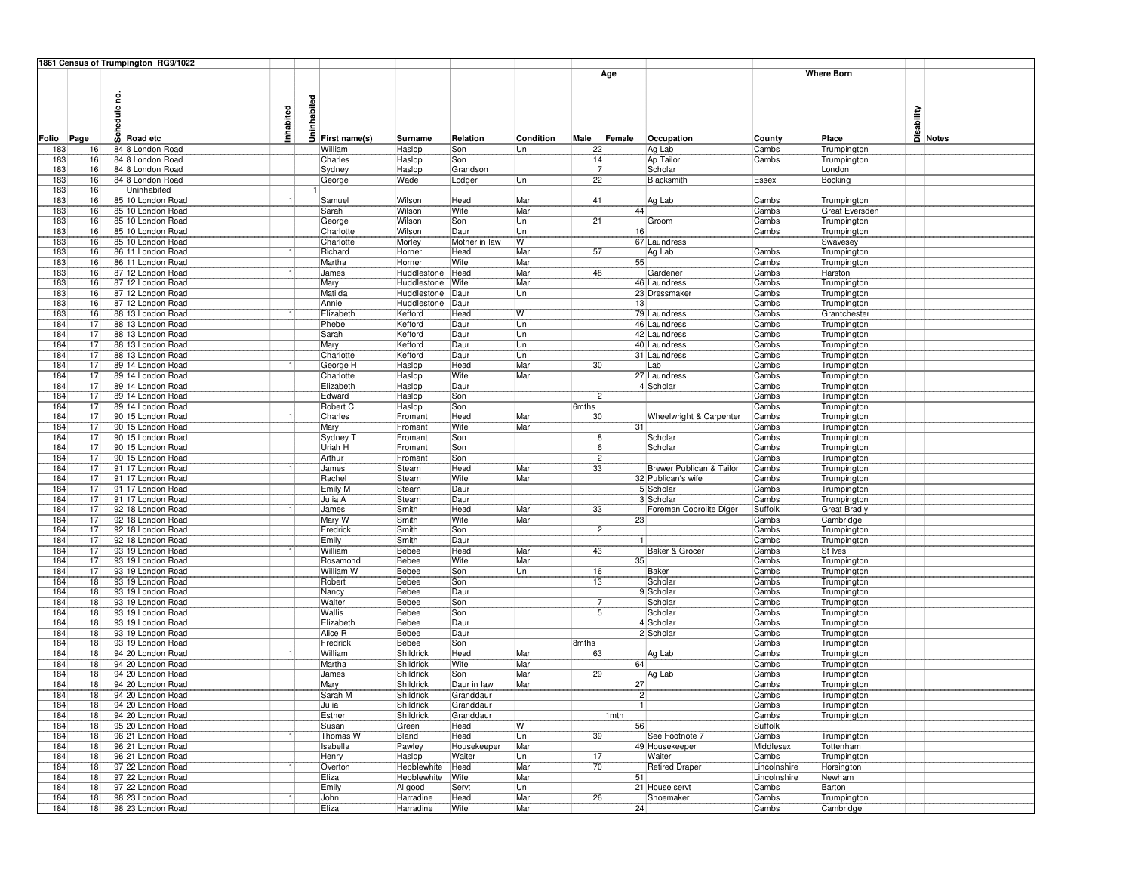|            |                 | 1861 Census of Trumpington RG9/1022        |           |             |                       |                            |                        |            |                 |         |                          |                       |                               |                                   |
|------------|-----------------|--------------------------------------------|-----------|-------------|-----------------------|----------------------------|------------------------|------------|-----------------|---------|--------------------------|-----------------------|-------------------------------|-----------------------------------|
|            |                 |                                            |           |             |                       |                            |                        |            |                 | Age     |                          |                       | <b>Where Born</b>             |                                   |
| Folio Page |                 | g<br>edule<br>$\overline{\omega}$ Road etc | Inhabited | Uninhabited | First name(s)         | Surname                    | Relation               | Condition  | Male            | Female  | Occupation               | County                | Place                         | Disability<br>Disability<br>Notes |
| 183        | 16              | 84 8 London Road                           |           |             | William               | Haslop                     | Son                    | Un         | 22              |         | Ag Lab                   | Cambs                 | Trumpington                   |                                   |
| 183        | 16              | 84 8 London Road                           |           |             | Charles               | Haslop                     | Son                    |            | 14              |         | Ap Tailor                | Cambs                 | Trumpington                   |                                   |
| 183        | 16              | 84 8 London Road                           |           |             | Sydney                | Haslop                     | Grandson               |            | $\overline{7}$  |         | Scholar                  |                       | London                        |                                   |
| 183        | 16              | 84 8 London Road                           |           |             | George                | Wade                       | Lodger                 | Un         | 22              |         | Blacksmith               | Essex                 | Bocking                       |                                   |
| 183        | 16<br>16        | Uninhabited<br>85 10 London Road           |           |             |                       |                            |                        | Mar        |                 |         |                          |                       |                               |                                   |
| 183<br>183 | 16              | 85 10 London Road                          |           |             | Samuel<br>Sarah       | Wilson<br>Wilson           | Head<br>Wife           | Mar        | 41              | 44      | Ag Lab                   | Cambs<br>Cambs        | Trumpington<br>Great Eversden |                                   |
| 183        | 16              | 85 10 London Road                          |           |             | George                | Wilson                     | Son                    | Un         | 21              |         | Groom                    | Cambs                 | Trumpington                   |                                   |
| 183        | 16              | 85 10 London Road                          |           |             | Charlotte             | Wilson                     | Daur                   | Un         |                 | 16      |                          | Cambs                 | Trumpington                   |                                   |
| 183        | 16              | 85 10 London Road                          |           |             | Charlotte             | Morley                     | Mother in law          | W          |                 |         | 67 Laundress             |                       | Swavesey                      |                                   |
| 183        | 16              | 86 11 London Road                          | 1         |             | Richard               | Horner                     | Head                   | Mar        | 57              |         | Ag Lab                   | Cambs                 | Trumpington                   |                                   |
| 183        | 16              | 86 11 London Road                          |           |             | Martha                | Horner                     | Wife                   | Mar        |                 | 55      |                          | Cambs                 | Trumpington                   |                                   |
| 183<br>183 | 16<br>16        | 87 12 London Road<br>87 12 London Road     |           |             | James<br>Mary         | Huddlestone<br>Huddlestone | Head<br>Wife           | Mar<br>Mar | 48              |         | Gardener<br>46 Laundress | Cambs<br>Cambs        | Harston                       |                                   |
| 183        | 16              | 87 12 London Road                          |           |             | Matilda               | Huddlestone                | Daur                   | Un         |                 |         | 23 Dressmaker            | Cambs                 | Trumpington<br>Trumpington    |                                   |
| 183        | 16              | 87 12 London Road                          |           |             | Annie                 | Huddlestone                | Daur                   |            |                 | 13      |                          | Cambs                 | Trumpington                   |                                   |
| 183        | 16              | 88 13 London Road                          |           |             | Elizabeth             | Kefford                    | Head                   | W          |                 |         | 79 Laundress             | Cambs                 | Grantchester                  |                                   |
| 184        | 17              | 88 13 London Road                          |           |             | Phebe                 | Kefford                    | Daur                   | Un         |                 |         | 46 Laundress             | Cambs                 | Trumpington                   |                                   |
| 184        | 17              | 88 13 London Road                          |           |             | Sarah                 | Kefford                    | Daur                   | Un         |                 |         | 42 Laundress             | Cambs                 | Trumpington                   |                                   |
| 184        | 17              | 88 13 London Road                          |           |             | Mary                  | Kefford                    | Daur                   | Un         |                 |         | 40 Laundress             | Cambs                 | Trumpington                   |                                   |
| 184        | 17<br>17        | 88 13 London Road<br>89 14 London Road     |           |             | Charlotte             | Kefford                    | Daur                   | Un         | 30              |         | 31 Laundress             | Cambs                 | Trumpington                   |                                   |
| 184<br>184 | 17              | 89 14 London Road                          |           |             | George H<br>Charlotte | Haslop<br>Haslop           | Head<br>Wife           | Mar<br>Mar |                 |         | Lab<br>27 Laundress      | Cambs<br>Cambs        | Trumpington<br>Trumpington    |                                   |
| 184        | $\overline{17}$ | 89 14 London Road                          |           |             | Elizabeth             | Haslop                     | Daur                   |            |                 |         | 4 Scholar                | Cambs                 | Trumpington                   |                                   |
| 184        | 17              | 89 14 London Road                          |           |             | Edward                | Haslop                     | Son                    |            | 2 <sup>1</sup>  |         |                          | Cambs                 | Trumpington                   |                                   |
| 184        | 17              | 89 14 London Road                          |           |             | Robert C              | Haslop                     | Son                    |            | 6mths           |         |                          | Cambs                 | Trumpington                   |                                   |
| 184        | 17              | 90 15 London Road                          |           |             | Charles               | Fromant                    | Head                   | Mar        | 30 <sub>5</sub> |         | Wheelwright & Carpenter  | Cambs                 | Trumpington                   |                                   |
| 184        | 17              | 90 15 London Road                          |           |             | Mary                  | Fromant                    | Wife                   | Mar        |                 | 31      |                          | Cambs                 | Trumpington                   |                                   |
| 184        | 17              | 90 15 London Road                          |           |             | Sydney <sub>1</sub>   | Fromant                    | Son                    |            | 8               |         | Scholar                  | Cambs                 | Trumpington                   |                                   |
| 184        | 17<br>17        | 90 15 London Road                          |           |             | Uriah H               | Fromant                    | Son                    |            | 6               |         | Scholar                  | Cambs                 | Trumpington                   |                                   |
| 184<br>184 | 17              | 90 15 London Road<br>91 17 London Road     |           |             | Arthur<br>James       | Fromant<br>Stearn          | Son<br>Head            | Mar        | 2 <br>33        |         | Brewer Publican & Tailor | Cambs<br>Cambs        | Trumpington<br>Trumpington    |                                   |
| 184        | 17              | 91 17 London Road                          |           |             | Rachel                | Stearn                     | Wife                   | Mar        |                 |         | 32 Publican's wife       | Cambs                 | Trumpington                   |                                   |
| 184        | $\overline{17}$ | 91117 London Road                          |           |             | Emily M               | Stearn                     | Daur                   |            |                 |         | 5 Scholar                | Cambs                 | Trumpington                   |                                   |
| 184        | 17              | 91 17 London Road                          |           |             | Julia A               | Stearn                     | Daur                   |            |                 |         | 3 Scholar                | Cambs                 | Trumpington                   |                                   |
| 184        | 17              | 92 18 London Road                          |           |             | James                 | Smith                      | Head                   | Mar        | 33              |         | Foreman Coprolite Diger  | Suffolk               | Great Bradly                  |                                   |
| 184        | 17              | 92 18 London Road                          |           |             | Mary W                | Smith                      | Wife                   | Mar        |                 | 23      |                          | Cambs                 | Cambridge                     |                                   |
| 184<br>184 | 17<br>17        | 92 18 London Road<br>92 18 London Road     |           |             | Fredrick<br>Emily     | Smith<br>Smith             | Son<br>Daur            |            | $2\vert$        |         |                          | Cambs<br>Cambs        | Trumpington                   |                                   |
| 184        | 17              | 93 19 London Road                          |           |             | William               | Bebee                      | Head                   | Mar        | 43              |         | Baker & Grocer           | Cambs                 | Trumpington<br>St Ives        |                                   |
| 184        | 17              | 93 19 London Road                          |           |             | Rosamond              | Bebee                      | Wife                   | Mar        |                 | 35      |                          | Cambs                 | Trumpington                   |                                   |
| 184        | 17              | 93 19 London Road                          |           |             | William W             | Bebee                      | Son                    | Un         | 16              |         | Baker                    | Cambs                 | Trumpington                   |                                   |
| 184        | 18              | 93 19 London Road                          |           |             | Robert                | Bebee                      | Son                    |            | 13              |         | Scholar                  | Cambs                 | Trumpington                   |                                   |
| 184        | 18              | 93 19 London Road                          |           |             | Nancy                 | Bebee                      | Daur                   |            |                 |         | 9 Scholar                | Cambs                 | Trumpington                   |                                   |
| 184        | 18              | 93 19 London Road                          |           |             | Walter                | Bebee                      | Son                    |            | 7               |         | Scholar                  | Cambs                 | Trumpington                   |                                   |
| 184<br>184 | 18<br>18        | 93 19 London Road<br>93 19 London Road     |           |             | Wallis<br>Elizabeth   | Bebee<br>Bebee             | Son<br>Daur            |            | 5 <sub>1</sub>  |         | Scholar<br>4 Scholar     | Cambs<br>Cambs        | Trumpington                   |                                   |
| 184        | 18              | 93 19 London Road                          |           |             | Alice R               | Bebee                      | Daur                   |            |                 |         | 2 Scholar                | Cambs                 | Trumpington<br>Trumpington    |                                   |
| 184        | 18              | 93 19 London Road                          |           |             | Fredrick              | Bebee                      | Son                    |            | 8mths           |         |                          | Cambs                 | Trumpington                   |                                   |
| 184        | 18              | 94 20 London Road                          |           |             | William               | Shildrick                  | Head                   | Mar        | 63              |         | Ag Lab                   | Cambs                 | Trumpington                   |                                   |
| 184        | 18              | 94 20 London Road                          |           |             | Martha                | Shildrick                  | Wife                   | Mar        |                 | 64      |                          | Cambs                 | Trumpington                   |                                   |
| 184        | 18              | 94 20 London Road                          |           |             | James                 | Shildrick                  | Son                    | Mar        | 29              |         | Ag Lab                   | Cambs                 | Trumpington                   |                                   |
| 184        | 18              | 94 20 London Road                          |           |             | Mary                  | Shildrick                  | Daur in law            | Mar        |                 | 27      |                          | Cambs                 | Trumpington                   |                                   |
| 184<br>184 | 18<br> 18       | 94 20 London Road<br>94 20 London Road     |           |             | Sarah M<br>Julia      | Shildrick<br>Shildrick     | Granddaur<br>Granddaur |            |                 | 2 <br>1 |                          | Cambs<br>Cambs        | Trumpington<br>Trumpington    |                                   |
| 184        | 18              | 94 20 London Road                          |           |             | Esther                | Shildrick                  | Granddaur              |            |                 | 1mth    |                          | Cambs                 | Trumpington                   |                                   |
| 184        | 18              | 95 20 London Road                          |           |             | Susan                 | Green                      | Head                   | W          |                 | 56      |                          | Suffolk               |                               |                                   |
| 184        | 18              | 96 21 London Road                          |           |             | Thomas W              | Bland                      | Head                   | Un         | 39              |         | See Footnote 7           | Cambs                 | Trumpington                   |                                   |
| 184        | 18              | 96 21 London Road                          |           |             | Isabella              | Pawley                     | Housekeeper            | Mar        |                 |         | 49 Housekeeper           | Middlesex             | Tottenham                     |                                   |
| 184        | 18              | 96 21 London Road                          |           |             | Henry                 | Haslop                     | Waiter                 | Un         | 17              |         | Waiter                   | Cambs                 | Trumpington                   |                                   |
| 184        | 18              | 97 22 London Road                          |           |             | Overton               | Hebblewhite                | Head                   | Mar        | 70              |         | <b>Retired Draper</b>    | Lincolnshire          | Horsington                    |                                   |
| 184<br>184 | 18<br>18        | 97 22 London Road<br>97 22 London Road     |           |             | Eliza<br>Emily        | Hebblewhite<br>Allgood     | Wife<br>Servt          | Mar<br>Un  |                 | 51      | 21 House servt           | Lincolnshire<br>Cambs | Newham<br>Barton              |                                   |
| 184        | 18              | 98 23 London Road                          |           |             | John                  | Harradine                  | Head                   | Mar        | 26              |         | Shoemaker                | Cambs                 | Trumpington                   |                                   |
| 184        | 18              | 98 23 London Road                          |           |             | Eliza                 | Harradine                  | Wife                   | Mar        |                 | 24      |                          | Cambs                 | Cambridge                     |                                   |
|            |                 |                                            |           |             |                       |                            |                        |            |                 |         |                          |                       |                               |                                   |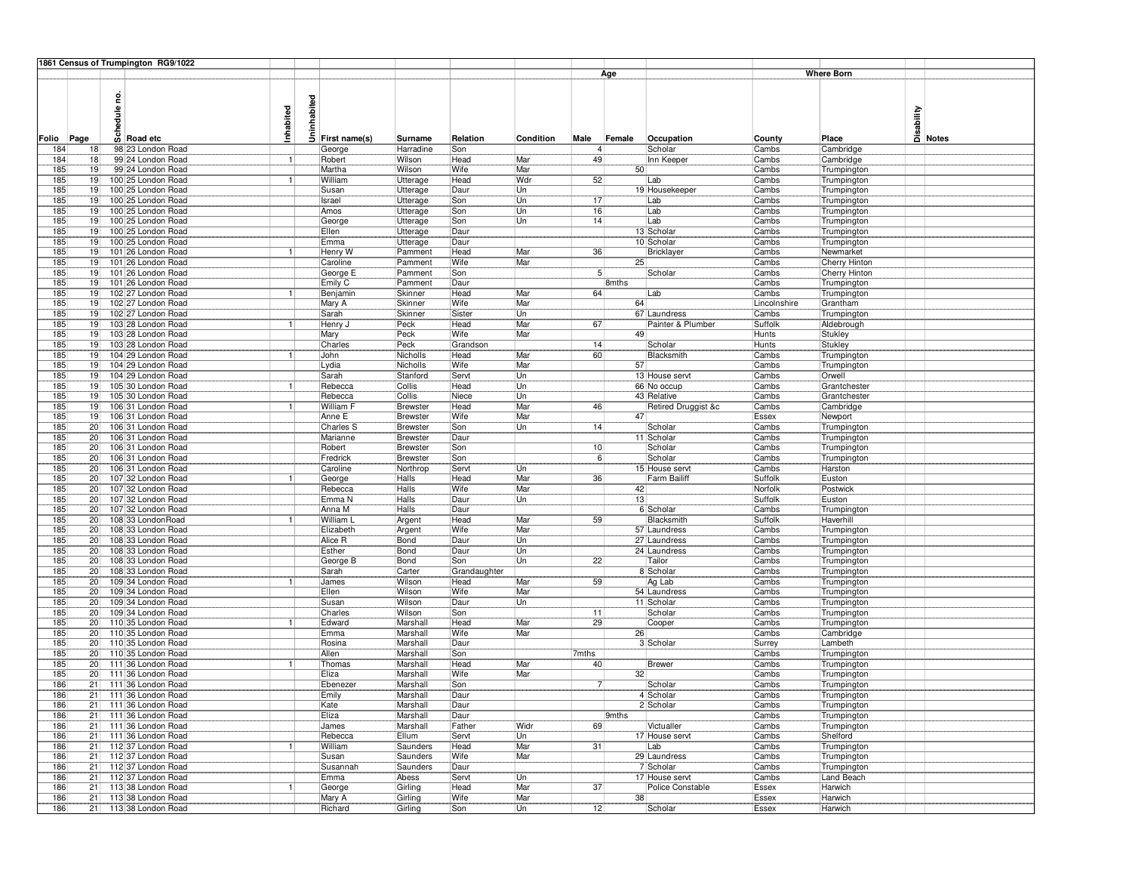|            |                       | 1861 Census of Trumpington RG9/1022      |           |             |                      |                             |                |           |                      |        |                                    |                       |                            |                                   |
|------------|-----------------------|------------------------------------------|-----------|-------------|----------------------|-----------------------------|----------------|-----------|----------------------|--------|------------------------------------|-----------------------|----------------------------|-----------------------------------|
|            |                       |                                          |           |             |                      |                             |                |           |                      | Age    |                                    |                       | <b>Where Born</b>          |                                   |
|            |                       | g<br>edule                               | Inhabited | Uninhabited |                      |                             |                |           |                      |        |                                    |                       |                            | Disability<br>Disability<br>Notes |
| Folio Page |                       | $\overline{\omega}$ Road etc             |           |             | First name(s)        | Surname                     | Relation       | Condition | Male                 | Female | Occupation                         | County                | Place                      |                                   |
| 184        | 18<br>18              | 98 23 London Road<br>99 24 London Road   |           |             | George<br>Robert     | Harradine<br>Wilson         | Son<br>Head    | Mar       | 4 <sup>1</sup><br>49 |        | Scholar<br>Inn Keeper              | Cambs                 | Cambridge                  |                                   |
| 184<br>185 | 19                    | 99 24 London Road                        |           |             | Martha               | Wilson                      | Wife           | Mar       |                      | 50     |                                    | Cambs<br>Cambs        | Cambridge<br>Trumpington   |                                   |
| 185        | 19                    | 100 25 London Road                       |           |             | William              | Utterage                    | Head           | Wdr       | 52                   |        | Lab                                | Cambs                 | Trumpington                |                                   |
| 185        | 19                    | 100 25 London Road                       |           |             | Susan                | Utterage                    | Daur           | Un        |                      |        | 19 Housekeeper                     | Cambs                 | Trumpington                |                                   |
| 185        | 19                    | 100 25 London Road                       |           |             | Israel               | Utterage                    | Son            | Un        | 17                   |        | Lab                                | Cambs                 | Trumpington                |                                   |
| 185        | 19                    | 100 25 London Road                       |           |             | Amos                 | Utterage                    | Son            | Un        | 16                   |        | Lab                                | Cambs                 | Trumpington                |                                   |
| 185<br>185 | 19<br>19              | 100 25 London Road<br>100 25 London Road |           |             | George<br>Ellen      | Utterage                    | Son<br>Daur    | Un        | 14                   |        | Lab<br>13 Scholar                  | Cambs<br>Cambs        | Trumpington                |                                   |
| 185        | 19                    | 100 25 London Road                       |           |             | Emma                 | Utterage<br>Utterage        | Daur           |           |                      |        | 10 Scholar                         | Cambs                 | Trumpington<br>Trumpington |                                   |
| 185        | 19                    | 101 26 London Road                       |           |             | Henry W              | Pamment                     | Head           | Mar       | 36                   |        | Bricklayer                         | Cambs                 | Newmarket                  |                                   |
| 185        | 19                    | 101 26 London Road                       |           |             | Caroline             | Pamment                     | Wife           | Mar       |                      | 25     |                                    | Cambs                 | Cherry Hinton              |                                   |
| 185        | 19                    | 101 26 London Road                       |           |             | George E             | Pamment                     | Son            |           | 5 <sup>1</sup>       |        | Scholar                            | Cambs                 | Cherry Hinton              |                                   |
| 185        | 19                    | 101 26 London Road                       |           |             | Emily C              | Pamment                     | Daur           |           |                      | 8mths  |                                    | Cambs                 | Trumpington                |                                   |
| 185        | 19                    | 102 27 London Road                       | 1         |             | Benjamin             | Skinner                     | Head           | Mar       | 64                   |        | Lab                                | Cambs                 | Trumpington                |                                   |
| 185<br>185 | 19<br>19              | 102 27 London Road<br>102 27 London Road |           |             | Mary A<br>Sarah      | Skinner<br>Skinner          | Wife<br>Sister | Mar<br>Un |                      | 64     | 67 Laundress                       | Lincolnshire<br>Cambs | Grantham<br>Trumpington    |                                   |
| 185        | 19                    | 103 28 London Road                       |           |             | Henry J              | Peck                        | Head           | Mar       | 67                   |        | Painter & Plumber                  | Suffolk               | Aldebrough                 |                                   |
| 185        | 19                    | 103 28 London Road                       |           |             | Mary                 | Peck                        | Wife           | Mar       |                      | 49     |                                    | Hunts                 | Stukley                    |                                   |
| 185        | 19                    | 103 28 London Road                       |           |             | Charles              | Peck                        | Grandson       |           | 14                   |        | Scholar                            | Hunts                 | Stukley                    |                                   |
| 185        | 19                    | 104 29 London Road                       |           |             | John                 | Nicholls                    | Head           | Mar       | 60                   |        | Blacksmith                         | Cambs                 | Trumpington                |                                   |
| 185        | 19                    | 104 29 London Road                       |           |             | Lydia                | Nicholls                    | Wife           | Mar       |                      | 57     |                                    | Cambs                 | Trumpington                |                                   |
| 185<br>185 | 19<br>19              | 104 29 London Road<br>105 30 London Road |           |             | Sarah<br>Rebecca     | Stanford<br>Collis          | Servt<br>Head  | Un<br>Un  |                      |        | 13 House servt<br>66 No occup      | Cambs<br>Cambs        | Orwell<br>Grantchester     |                                   |
| 185        | 19                    | 105 30 London Road                       |           |             | Rebecca              | Collis                      | Niece          | Un        |                      |        | 43 Relative                        | Cambs                 | Grantchester               |                                   |
| 185        | 19                    | 106 31 London Road                       |           |             | William F            | <b>Brewster</b>             | Head           | Mar       | 46                   |        | Retired Druggist &c                | Cambs                 | Cambridge                  |                                   |
| 185        | 19                    | 106 31 London Road                       |           |             | Anne E               | Brewster                    | Wife           | Mar       |                      | 47     |                                    | Essex                 | Newport                    |                                   |
| 185        | 20                    | 106 31 London Road                       |           |             | Charles S            | <b>Brewster</b>             | Son            | Un        | 14                   |        | Scholar                            | Cambs                 | Trumpington                |                                   |
| 185        | 20                    | 106 31 London Road                       |           |             | Marianne             | <b>Brewster</b>             | Daur           |           |                      |        | 11 Scholar                         | Cambs                 | Trumpington                |                                   |
| 185        | 20                    | 106 31 London Road                       |           |             | Robert               | <b>Brewster</b>             | Son            |           | 10                   |        | Scholar                            | Cambs                 | Trumpington                |                                   |
| 185<br>185 | 20<br>20 <sup>1</sup> | 106 31 London Road<br>106 31 London Road |           |             | Fredrick<br>Caroline | <b>Brewster</b><br>Northrop | Son<br>Servt   | Un        | 6                    |        | Scholar<br>15 House servt          | Cambs<br>Cambs        | Trumpington<br>Harston     |                                   |
| 185        | 20                    | 107 32 London Road                       |           |             | George               | Halls                       | Head           | Mar       | 36                   |        | <b>Farm Bailiff</b>                | Suffolk               | Euston                     |                                   |
| 185        | 20                    | 107 32 London Road                       |           |             | Rebecca              | Halls                       | Wife           | Mar       |                      | 42     |                                    | Norfolk               | Postwick                   |                                   |
| 185        | 20                    | 107 32 London Road                       |           |             | Emma N               | Halls                       | Daur           | Un        |                      | 13     |                                    | Suffolk               | Euston                     |                                   |
| 185        | 20                    | 107 32 London Road                       |           |             | Anna M               | Halls                       | Daur           |           |                      |        | 6 Scholar                          | Cambs                 | Trumpington                |                                   |
| 185        | 20                    | 108 33 London Road                       |           |             | William I            | Argent                      | Head           | Mar       | 59                   |        | Blacksmith                         | Suffolk               | Haverhill                  |                                   |
| 185<br>185 | 20<br>20              | 108 33 London Road<br>108 33 London Road |           |             | Elizabeth<br>Alice R | Argent<br>Bond              | Wife<br>Daur   | Mar<br>Un |                      |        | 57 Laundress<br>27 Laundress       | Cambs<br>Cambs        | Trumpington<br>Trumpington |                                   |
| 185        | 20                    | 108 33 London Road                       |           |             | Esther               | Bond                        | Daur           | Un        |                      |        | 24 Laundress                       | Cambs                 | Trumpington                |                                   |
| 185        | 20                    | 108 33 London Road                       |           |             | George B             | Bond                        | Son            | Un        | 22                   |        | Tailor                             | Cambs                 | Trumpington                |                                   |
| 185        | 20                    | 108 33 London Road                       |           |             | Sarah                | Carter                      | Grandaughter   |           |                      |        | 8 Scholar                          | Cambs                 | Trumpington                |                                   |
| 185        | 20                    | 109 34 London Road                       |           |             | James                | Wilson                      | Head           | Mar       | 59                   |        | Ag Lab                             | Cambs                 | Trumpington                |                                   |
| 185        | 20                    | 109 34 London Road                       |           |             | Ellen                | Wilson                      | Wife           | Mar       |                      |        | 54 Laundress                       | Cambs                 | Trumpington                |                                   |
| 185        | 20                    | 109 34 London Road                       |           |             | Susan                | Wilson                      | Daur           | Un        |                      |        | 11 Scholar                         | Cambs                 | Trumpington                |                                   |
| 185<br>185 | 20<br>20              | 109 34 London Road<br>110 35 London Road |           |             | Charles<br>Edward    | Wilson<br>Marshall          | Son<br>Head    | Mar       | 11<br>29             |        | Scholar<br>Cooper                  | Cambs<br>Cambs        | Trumpington<br>Trumpington |                                   |
| 185        | 20                    | 110 35 London Road                       |           |             | Emma                 | Marshall                    | Wife           | Mar       |                      | 26     |                                    | Cambs                 | Cambridge                  |                                   |
| 185        | 20                    | 110 35 London Road                       |           |             | Rosina               | Marshall                    | Daur           |           |                      |        | 3 Scholar                          | Surrey                | Lambeth                    |                                   |
| 185        | 20                    | 110 35 London Road                       |           |             | Allen                | Marshall                    | Son            |           | 7mths                |        |                                    | Cambs                 | Trumpington                |                                   |
| 185        | 20                    | 111 36 London Road                       |           |             | Thomas               | Marshall                    | Head           | Mar       | 40                   |        | Brewer                             | Cambs                 | Trumpington                |                                   |
| 185        | 20                    | 111 36 London Road                       |           |             | Eliza                | Marshall                    | Wife           | Mar       |                      | 32     |                                    | Cambs                 | Trumpington                |                                   |
| 186        | 21                    | 111 36 London Road                       |           |             | Ebenezer             | Marshall                    | Son            |           | 7                    |        | Scholar                            | Cambs                 | Trumpington                |                                   |
| 186<br>186 | 21<br>21              | 111 36 London Road<br>111 36 London Road |           |             | Emily<br>Kate        | Marshall<br>Marshall        | Daur<br>Daur   |           |                      |        | 4 Scholar<br>2 Scholar             | Cambs<br>Cambs        | Trumpington<br>Trumpington |                                   |
| 186        | 21                    | 111 36 London Road                       |           |             | Eliza                | Marshall                    | Daur           |           |                      | 9mths  |                                    | Cambs                 | Trumpington                |                                   |
| 186        | 21                    | 111 36 London Road                       |           |             | James                | Marshall                    | Father         | Widr      | 69                   |        | Victualler                         | Cambs                 | Trumpington                |                                   |
| 186        | 21                    | 111 36 London Road                       |           |             | Rebecca              | Ellum                       | Servt          | Un        |                      |        | 17 House servt                     | Cambs                 | Shelford                   |                                   |
| 186        | 21                    | 112 37 London Road                       |           |             | William              | Saunders                    | Head           | Mar       | 31                   |        | Lab                                | Cambs                 | Trumpington                |                                   |
| 186        | 21                    | 112 37 London Road                       |           |             | Susan                | Saunders                    | Wife           | Mar       |                      |        | 29 Laundress                       | Cambs                 | Trumpington                |                                   |
| 186        | 21                    | 112 37 London Road                       |           |             | Susannah             | Saunders                    | Daur           |           |                      |        | 7 Scholar                          | Cambs                 | Trumpington                |                                   |
| 186<br>186 | 21<br>21              | 112 37 London Road<br>113 38 London Road |           |             | Emma<br>George       | Abess<br>Girling            | Servt<br>Head  | Un<br>Mar | 37                   |        | 17 House servt<br>Police Constable | Cambs<br>Essex        | Land Beach<br>Harwich      |                                   |
| 186        | 21                    | 113 38 London Road                       |           |             | Mary A               | Girling                     | <b>Wife</b>    | Mar       |                      | 38     |                                    | Essex                 | Harwich                    |                                   |
| 186        |                       | 21 113 38 London Road                    |           |             | Richard              | Girling                     | Son            | Un        | 12                   |        | Scholar                            | Essex                 | Harwich                    |                                   |
|            |                       |                                          |           |             |                      |                             |                |           |                      |        |                                    |                       |                            |                                   |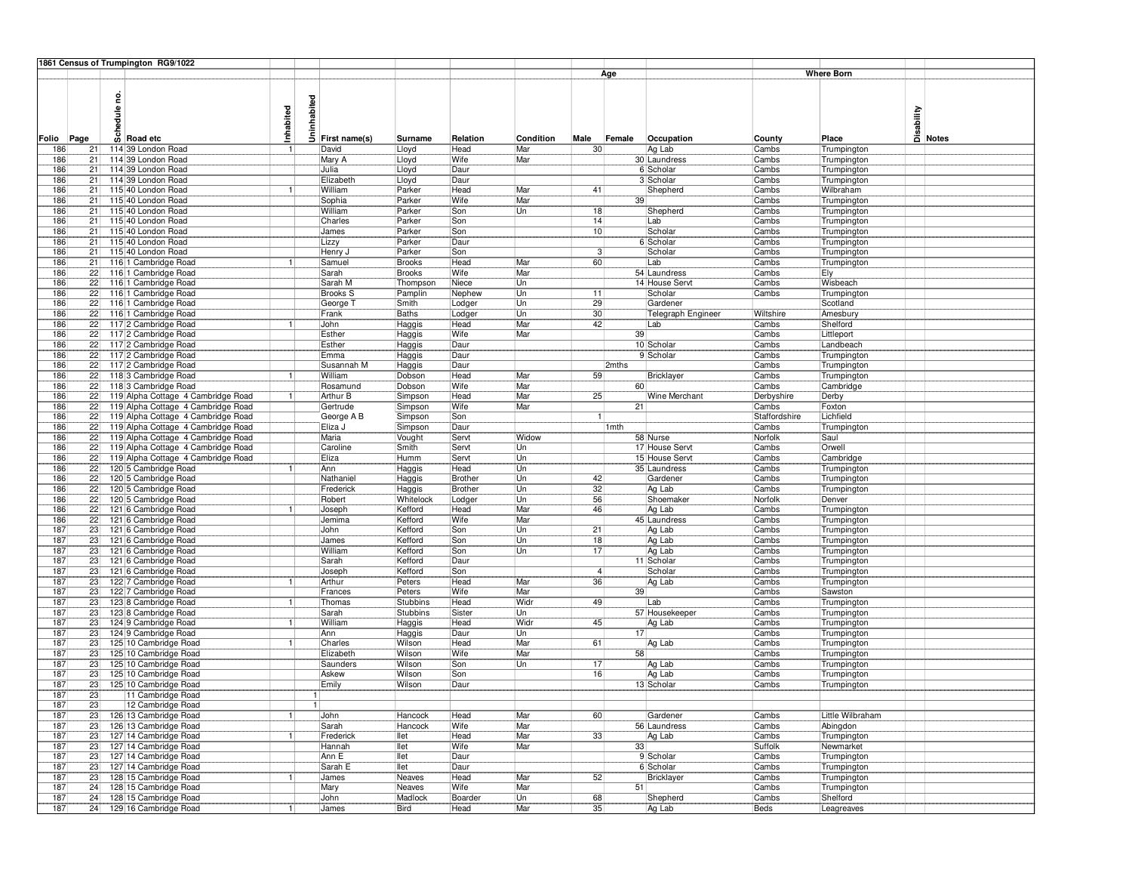|                   |                       | 1861 Census of Trumpington RG9/1022                        |              |               |                             |                    |                  |                  |                  |                  |                                  |                 |                            |                                             |
|-------------------|-----------------------|------------------------------------------------------------|--------------|---------------|-----------------------------|--------------------|------------------|------------------|------------------|------------------|----------------------------------|-----------------|----------------------------|---------------------------------------------|
|                   |                       |                                                            |              |               |                             |                    |                  |                  |                  | Age              |                                  |                 | <b>Where Born</b>          |                                             |
|                   |                       | ဥ<br>٩Ë<br>$\overline{\omega}$ Road etc                    | Inhabited    | nhabited<br>Ξ |                             |                    |                  |                  |                  |                  |                                  |                 |                            | Disability<br>Disa<br><mark>Di Notes</mark> |
| Folio Page<br>186 | 21                    | 114 39 London Road                                         |              |               | First name(s)<br>David      | Surname<br>Lloyd   | Relation<br>Head | Condition<br>Mar | Male<br>30       | Female           | Occupation<br>Ag Lab             | County<br>Cambs | Place<br>Trumpington       |                                             |
| 186               | 21                    | 114 39 London Road                                         |              |               | Mary A                      | Lloyd              | Wife             | Mar              |                  |                  | 30 Laundress                     | Cambs           | Trumpington                |                                             |
| 186               | 21                    | 114 39 London Road                                         |              |               | Julia                       | Lloyd              | Daur             |                  |                  |                  | 6 Scholar                        | Cambs           | Trumpington                |                                             |
| 186               | 21                    | 114 39 London Road                                         |              |               | Elizabeth                   | Lloyd              | Daur             |                  |                  |                  | 3 Scholar                        | Cambs           | Trumpington                |                                             |
| 186               | 21                    | 115 40 London Road                                         |              |               | William                     | Parker             | Head             | Mar              | 41               |                  | Shepherd                         | Cambs           | Wilbraham                  |                                             |
| 186               | 21                    | 115 40 London Road                                         |              |               | Sophia                      | Parker             | Wife             | Mar              |                  | 39               |                                  | Cambs           | Trumpington                |                                             |
| 186<br>186        | 21<br>21              | 115 40 London Road<br>115 40 London Road                   |              |               | William<br>Charles          | Parker<br>Parker   | Son<br>Son       | Un               | 18<br>14         |                  | Shepherd<br>Lab                  | Cambs<br>Cambs  | Trumpington<br>Trumpington |                                             |
| 186               | 21                    | 115 40 London Road                                         |              |               | James                       | Parker             | Son              |                  | 10               |                  | Scholar                          | Cambs           | Trumpington                |                                             |
| 186               | 21                    | 115 40 London Road                                         |              |               | Lizzy                       | Parker             | Daur             |                  |                  |                  | 6 Scholar                        | Cambs           | Trumpington                |                                             |
| 186               | 21                    | 115 40 London Road                                         |              |               | Henry J                     | Parker             | Son              |                  | 3                |                  | Scholar                          | Cambs           | Trumpington                |                                             |
| 186               | 21                    | 1161 Cambridge Road                                        |              |               | Samuel                      | <b>Brooks</b>      | Head             | Mar              | 60               |                  | Lab                              | Cambs           | Trumpington                |                                             |
| 186               | 22                    | 1161 Cambridge Road                                        |              |               | Sarah                       | <b>Brooks</b>      | Wife             | Mar              |                  |                  | 54 Laundress                     | Cambs           | Ely                        |                                             |
| 186               | 22                    | 116 1 Cambridge Road                                       |              |               | Sarah M                     | Thompson           | Niece            | Un               |                  |                  | 14 House Servt                   | Cambs           | Wisbeach                   |                                             |
| 186<br>186        | 22<br>22              | 116 1 Cambridge Road<br>116 1 Cambridge Road               |              |               | <b>Brooks S</b><br>George T | Pamplin<br>Smith   | Nephew<br>Lodger | Un<br>Un         | 11<br>29         |                  | Scholar<br>Gardener              | Cambs           | Trumpington<br>Scotland    |                                             |
| 186               | 22                    | 116 1 Cambridge Road                                       |              |               | Frank                       | <b>Baths</b>       | Lodger           | Un               | 30               |                  | Telegraph Engineer               | Wiltshire       | Amesbury                   |                                             |
| 186               | 22                    | 117 2 Cambridge Road                                       |              |               | John                        | Haggis             | Head             | Mar              | 42               |                  | Lab                              | Cambs           | Shelford                   |                                             |
| 186               | 22                    | 117 2 Cambridge Road                                       |              |               | Esther                      | Haggis             | Wife             | Mar              |                  | 39               |                                  | Cambs           | Littleport                 |                                             |
| 186               | 22                    | 117 2 Cambridge Road                                       |              |               | Esther                      | Haggis             | Daur             |                  |                  |                  | 10 Scholar                       | Cambs           | Landbeach                  |                                             |
| 186               | 22                    | 117 2 Cambridge Road                                       |              |               | Emma                        | Haggis             | Daur             |                  |                  |                  | 9 Scholar                        | Cambs           | Trumpington                |                                             |
| 186               | 22                    | 117 2 Cambridge Road                                       |              |               | Susannah M                  | Haggis             | Daur             |                  |                  | 2mths            |                                  | Cambs           | Trumpington                |                                             |
| 186<br>186        | 22<br>$\overline{22}$ | 1183 Cambridge Road<br>118 3 Cambridge Road                |              |               | William<br>Rosamund         | Dobson<br>Dobson   | Head<br>Wife     | Mar<br>Mar       | 59               | 60               | Bricklayer                       | Cambs<br>Cambs  | Trumpington<br>Cambridge   |                                             |
| 186               | 22                    | 119 Alpha Cottage 4 Cambridge Road                         | 1            |               | Arthur B                    | Simpson            | Head             | Mar              | 25               |                  | Wine Merchant                    | Derbyshire      | Derby                      |                                             |
| 186               | 22                    | 119 Alpha Cottage 4 Cambridge Road                         |              |               | Gertrude                    | Simpson            | Wife             | Mar              |                  | 21               |                                  | Cambs           | Foxton                     |                                             |
| 186               | 22                    | 119 Alpha Cottage 4 Cambridge Road                         |              |               | George A B                  | Simpson            | Son              |                  |                  |                  |                                  | Staffordshire   | Lichfield                  |                                             |
| 186               | 22                    | 119 Alpha Cottage 4 Cambridge Road                         |              |               | Eliza J                     | Simpson            | Daur             |                  |                  | 1 <sub>mth</sub> |                                  | Cambs           | Trumpington                |                                             |
| 186               | 22                    | 119 Alpha Cottage 4 Cambridge Road                         |              |               | Maria                       | Vought             | Servt            | Widow            |                  |                  | 58 Nurse                         | Norfolk         | Saul                       |                                             |
| 186               | 22<br>22              | 119 Alpha Cottage 4 Cambridge Road                         |              |               | Caroline<br>Eliza           | Smith              | Servt            | Un<br>Un         |                  |                  | 17 House Servt<br>15 House Servt | Cambs           | Orwell                     |                                             |
| 186<br>186        | 22                    | 119 Alpha Cottage 4 Cambridge Road<br>120 5 Cambridge Road |              |               | Ann                         | Humm<br>Haggis     | Servt<br>Head    | Un               |                  |                  | 35 Laundress                     | Cambs<br>Cambs  | Cambridge<br>Trumpington   |                                             |
| 186               | 22                    | 120 5 Cambridge Road                                       |              |               | Nathaniel                   | Haggis             | <b>Brother</b>   | Un               | 42               |                  | Gardener                         | Cambs           | Trumpington                |                                             |
| 186               | 22                    | 120 5 Cambridge Road                                       |              |               | Frederick                   | Haggis             | <b>Brother</b>   | Un               | 32               |                  | Ag Lab                           | Cambs           | Trumpington                |                                             |
| 186               | $\overline{22}$       | 120 5 Cambridge Road                                       |              |               | Robert                      | Whitelock          | Lodger           | Un               | 56               |                  | Shoemaker                        | Norfolk         | Denver                     |                                             |
| 186               | 22                    | 121 6 Cambridge Road                                       |              |               | Joseph                      | Kefford            | Head             | Mar              | 46               |                  | Ag Lab                           | Cambs           | Trumpington                |                                             |
| 186               | 22                    | 121 6 Cambridge Road                                       |              |               | Jemima                      | Kefford            | Wife             | Mar              |                  |                  | 45 Laundress                     | Cambs           | Trumpington                |                                             |
| 187<br>187        | 23<br>23              | 121 6 Cambridge Road<br>121 6 Cambridge Road               |              |               | John<br>James               | Kefford<br>Kefford | Son<br>Son       | Un<br>Un         | 21<br>18         |                  | Ag Lab<br>Ag Lab                 | Cambs<br>Cambs  | Trumpington                |                                             |
| 187               | 23                    | 121 6 Cambridge Road                                       |              |               | William                     | Kefford            | Son              | Un               | 17               |                  | Ag Lab                           | Cambs           | Trumpington<br>Trumpington |                                             |
| 187               | 23                    | 121 6 Cambridge Road                                       |              |               | Sarah                       | Kefford            | Daur             |                  |                  |                  | 11 Scholar                       | Cambs           | Trumpington                |                                             |
| 187               | 23                    | 121 6 Cambridge Road                                       |              |               | Joseph                      | Kefford            | Son              |                  | $\left 4\right $ |                  | Scholar                          | Cambs           | Trumpington                |                                             |
| 187               | 23                    | 122 7 Cambridge Road                                       |              |               | Arthur                      | Peters             | Head             | Mar              | 36               |                  | Ag Lab                           | Cambs           | Trumpington                |                                             |
| 187               | 23                    | 122 7 Cambridge Road                                       |              |               | Frances                     | Peters             | Wife             | Mar              |                  | 39               |                                  | Cambs           | Sawston                    |                                             |
| 187               | 23                    | 123 8 Cambridge Road                                       |              |               | Thomas                      | Stubbins           | Head             | Widr             | 49               |                  | Lab                              | Cambs           | Trumpington                |                                             |
| 187<br>187        | 23<br>23              | 123 8 Cambridge Road<br>124 9 Cambridge Road               |              |               | Sarah<br>William            | Stubbins<br>Haggis | Sister<br>Head   | Un<br>Widr       | 45               |                  | 57 Housekeeper<br>Ag Lab         | Cambs<br>Cambs  | Trumpington<br>Trumpington |                                             |
| 187               | 23                    | 124 9 Cambridge Road                                       |              |               | Ann                         | Haggis             | Daur             | Un               |                  | 17               |                                  | Cambs           | Trumpington                |                                             |
| 187               | 23                    | 125 10 Cambridge Road                                      |              |               | Charles                     | Wilson             | Head             | Mar              | 61               |                  | Ag Lab                           | Cambs           | Trumpington                |                                             |
| 187               | 23                    | 125 10 Cambridge Road                                      |              |               | Elizabeth                   | Wilson             | Wife             | Mar              |                  | 58               |                                  | Cambs           | Trumpington                |                                             |
| 187               | 23                    | 125 10 Cambridge Road                                      |              |               | Saunders                    | Wilson             | Son              | Un               | 17               |                  | Ag Lab                           | Cambs           | Trumpington                |                                             |
| 187               | 23                    | 125 10 Cambridge Road                                      |              |               | Askew                       | Wilson             | Son              |                  | 16               |                  | Ag Lab                           | Cambs           | Trumpington                |                                             |
| 187               | 23                    | 125 10 Cambridge Road                                      |              |               | Emily                       | Wilson             | Daur             |                  |                  |                  | 13 Scholar                       | Cambs           | Trumpington                |                                             |
| 187<br>187        | 23<br>23              | 11 Cambridge Road<br>12 Cambridge Road                     |              |               |                             |                    |                  |                  |                  |                  |                                  |                 |                            |                                             |
| 187               | 23                    | 126 13 Cambridge Road                                      |              |               | John                        | Hancock            | Head             | Mar              | 60               |                  | Gardener                         | Cambs           | Little Wilbraham           |                                             |
| 187               | 23                    | 126 13 Cambridge Road                                      |              |               | Sarah                       | Hancock            | Wife             | Mar              |                  |                  | 56 Laundress                     | Cambs           | Abingdon                   |                                             |
| 187               | 23                    | 127 14 Cambridge Road                                      | $\mathbf{1}$ |               | Frederick                   | llet               | Head             | Mar              | 33               |                  | Ag Lab                           | Cambs           | Trumpington                |                                             |
| 187               | 23                    | 127 14 Cambridge Road                                      |              |               | Hannah                      | llet               | <b>Wife</b>      | Mar              |                  | 33               |                                  | Suffolk         | Newmarket                  |                                             |
| 187               | 23                    | 127 14 Cambridge Road                                      |              |               | Ann E                       | llet               | Daur             |                  |                  |                  | 9 Scholar                        | Cambs           | Trumpington                |                                             |
| 187               | 23<br>23              | 127 14 Cambridge Road                                      |              |               | Sarah E                     | llet               | Daur<br>Head     |                  | 52               |                  | 6 Scholar                        | Cambs           | Trumpington                |                                             |
| 187<br>187        | 24                    | 128 15 Cambridge Road<br>128 15 Cambridge Road             |              |               | James<br>Mary               | Neaves<br>Neaves   | Wife             | Mar<br>Mar       |                  | 51               | Bricklayer                       | Cambs<br>Cambs  | Trumpington<br>Trumpington |                                             |
| 187               | 24                    | 128 15 Cambridge Road                                      |              |               | John                        | Madlock            | Boarder          | Un               | 68               |                  | Shepherd                         | Cambs           | Shelford                   |                                             |
| 187               | 24                    | 129 16 Cambridge Road                                      | 11           |               | James                       | Bird               | Head             | Mar              | 35               |                  | Ag Lab                           | Beds            | Leagreaves                 |                                             |
|                   |                       |                                                            |              |               |                             |                    |                  |                  |                  |                  |                                  |                 |                            |                                             |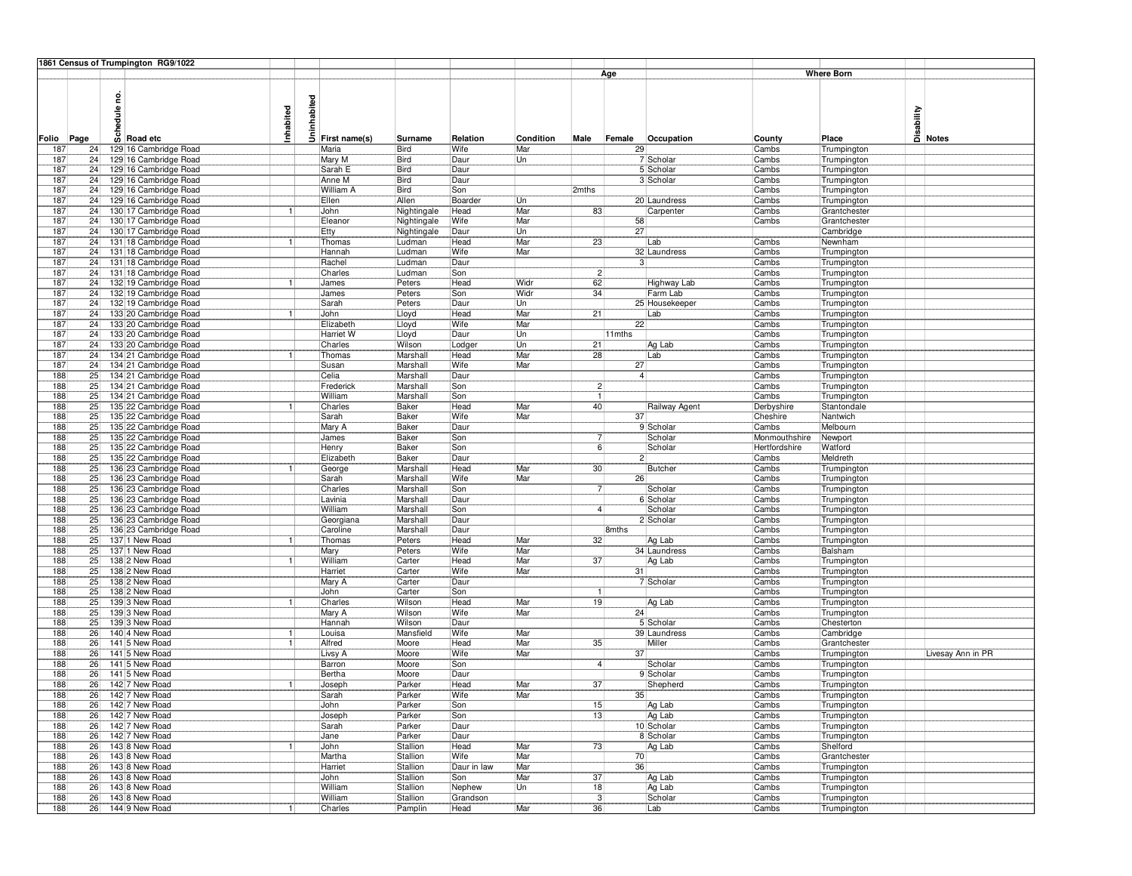|            |    | 1861 Census of Trumpington RG9/1022 |           |          |                  |              |             |            |                 |                 |                |               |                   |            |                   |
|------------|----|-------------------------------------|-----------|----------|------------------|--------------|-------------|------------|-----------------|-----------------|----------------|---------------|-------------------|------------|-------------------|
|            |    |                                     |           |          |                  |              |             |            |                 | Age             |                |               | <b>Where Born</b> |            |                   |
|            |    |                                     |           |          |                  |              |             |            |                 |                 |                |               |                   |            |                   |
|            |    | ဥ                                   |           |          |                  |              |             |            |                 |                 |                |               |                   |            |                   |
|            |    |                                     |           | nhabited |                  |              |             |            |                 |                 |                |               |                   |            |                   |
|            |    | edule                               | Inhabited |          |                  |              |             |            |                 |                 |                |               |                   | Disability |                   |
|            |    |                                     |           |          |                  |              |             |            |                 |                 |                |               |                   |            |                   |
|            |    | $\overline{\omega}$ Road etc        |           | Ξ        |                  |              |             |            |                 |                 |                |               |                   |            |                   |
| Folio Page |    |                                     |           |          | First name(s)    | Surname      | Relation    | Condition  | Male            | Female          | Occupation     | County        | Place             |            | <b>Notes</b>      |
| 187        | 24 | 129 16 Cambridge Road               |           |          | Maria            | Bird         | Wife        | Mar        |                 | 29              |                | Cambs         | Trumpington       |            |                   |
| 187        | 24 | 129 16 Cambridge Road               |           |          | Mary M           | Bird         | Daur        | Un         |                 |                 | 7 Scholar      | Cambs         | Trumpington       |            |                   |
| 187        | 24 | 129 16 Cambridge Road               |           |          | Sarah E          | Bird         | Daur        |            |                 |                 | 5 Scholar      | Cambs         | Trumpington       |            |                   |
| 187        | 24 | 129 16 Cambridge Road               |           |          | Anne M           | <b>Bird</b>  | Daur        |            |                 |                 | 3 Scholar      | Cambs         | Trumpington       |            |                   |
| 187        | 24 | 129 16 Cambridge Road               |           |          | <b>William A</b> | Bird         | Son         |            | 2mths           |                 |                | Cambs         | Trumpington       |            |                   |
| 187        | 24 | 129 16 Cambridge Road               |           |          | Ellen            | Allen        | Boarder     | Un         |                 |                 | 20 Laundress   | Cambs         | Trumpington       |            |                   |
| 187        | 24 | 130 17 Cambridge Road               |           |          | John             | Nightingale  | Head        | Mar        | 83              |                 | Carpenter      | Cambs         | Grantchester      |            |                   |
| 187        | 24 | 130 17 Cambridge Road               |           |          | Eleanor          | Nightingale  | Wife        | Mar        |                 | 58              |                | Cambs         | Grantchester      |            |                   |
| 187        | 24 | 130 17 Cambridge Road               |           |          | Etty             | Nightingale  | Daur        | Un         |                 | 27              |                |               | Cambridge         |            |                   |
| 187        | 24 | 131 18 Cambridge Road               |           |          | Thomas           | Ludman       | Head        | Mar        | 23              |                 | Lab            | Cambs         | Newnham           |            |                   |
| 187        | 24 | 131 18 Cambridge Road               |           |          | Hannah           | Ludman       | Wife        | Mar        |                 |                 | 32 Laundress   | Cambs         | Trumpington       |            |                   |
| 187        | 24 | 131 18 Cambridge Road               |           |          | Rachel           | Ludman       | Daur        |            |                 | 3 <sup>1</sup>  |                | Cambs         | Trumpington       |            |                   |
| 187        | 24 | 131 18 Cambridge Road               |           |          | Charles          | Ludman       | Son         |            | 2               |                 |                | Cambs         | Trumpington       |            |                   |
| 187        | 24 | 132 19 Cambridge Road               |           |          | James            | Peters       | Head        | Widr       | 62              |                 | Highway Lab    | Cambs         | Trumpington       |            |                   |
| 187        | 24 | 132 19 Cambridge Road               |           |          | James            | Peters       | Son         | Widr       | 34              |                 | Farm Lab       | Cambs         | Trumpington       |            |                   |
| 187        | 24 | 132 19 Cambridge Road               |           |          | Sarah            | Peters       | Daur        | Un         |                 |                 | 25 Housekeeper | Cambs         |                   |            |                   |
|            |    |                                     |           |          |                  |              |             |            |                 |                 |                |               | Trumpington       |            |                   |
| 187        | 24 | 133 20 Cambridge Road               |           |          | John             | Lloyd        | Head        | Mar<br>Mar | $\overline{21}$ |                 | Lab            | Cambs         | Trumpington       |            |                   |
| 187        | 24 | 133 20 Cambridge Road               |           |          | Elizabeth        | Lloyd        | Wife        |            |                 | 22              |                | Cambs         | Trumpington       |            |                   |
| 187        | 24 | 133 20 Cambridge Road               |           |          | Harriet W        | Lloyd        | Daur        | Un         |                 | $11$ mths       |                | Cambs         | Trumpington       |            |                   |
| 187        | 24 | 133 20 Cambridge Road               |           |          | Charles          | Wilson       | Lodger      | Un         | 21              |                 | Ag Lab         | Cambs         | Trumpington       |            |                   |
| 187        | 24 | 134 21 Cambridge Road               |           |          | Thomas           | Marshall     | Head        | Mar        | 28              |                 | Lab            | Cambs         | Trumpington       |            |                   |
| 187        | 24 | 134 21 Cambridge Road               |           |          | Susan            | Marshall     | Wife        | Mar        |                 | 27              |                | Cambs         | Trumpington       |            |                   |
| 188        | 25 | 134 21 Cambridge Road               |           |          | Celia            | Marshall     | Daur        |            |                 | $\overline{4}$  |                | Cambs         | Trumpington       |            |                   |
| 188        | 25 | 134 21 Cambridge Road               |           |          | Frederick        | Marshall     | Son         |            | $\overline{2}$  |                 |                | Cambs         | Trumpington       |            |                   |
| 188        | 25 | 134 21 Cambridge Road               |           |          | William          | Marshall     | Son         |            | -11             |                 |                | Cambs         | Trumpington       |            |                   |
| 188        | 25 | 135 22 Cambridge Road               |           |          | Charles          | Baker        | Head        | Mar        | 40              |                 | Railway Agent  | Derbyshire    | Stantondale       |            |                   |
| 188        | 25 | 135 22 Cambridge Road               |           |          | Sarah            | Baker        | Wife        | Mar        |                 | 37 <sup>1</sup> |                | Cheshire      | Nantwich          |            |                   |
| 188        | 25 | 135 22 Cambridge Road               |           |          | Mary A           | Baker        | Daur        |            |                 |                 | 9 Scholar      | Cambs         | Melbourn          |            |                   |
| 188        | 25 | 135 22 Cambridge Road               |           |          | James            | Baker        | Son         |            | 7               |                 | Scholar        | Monmouthshire | Newport           |            |                   |
| 188        | 25 | 135 22 Cambridge Road               |           |          | Henry            | <b>Baker</b> | Son         |            | 6               |                 | Scholar        | Hertfordshire | Watford           |            |                   |
| 188        | 25 | 135 22 Cambridge Road               |           |          | Elizabeth        | <b>Baker</b> | Daur        |            |                 | 2               |                | Cambs         | Meldreth          |            |                   |
| 188        | 25 | 136 23 Cambridge Road               |           |          | George           | Marshall     | Head        | Mar        | 30 <sub>1</sub> |                 | Butcher        | Cambs         | Trumpington       |            |                   |
| 188        | 25 | 136 23 Cambridge Road               |           |          | Sarah            | Marshall     | Wife        | Mar        |                 | 26              |                | Cambs         |                   |            |                   |
| 188        | 25 | 136 23 Cambridge Road               |           |          | Charles          | Marshall     | Son         |            | 71              |                 | Scholar        | Cambs         | Trumpington       |            |                   |
| 188        | 25 | 136 23 Cambridge Road               |           |          | Lavinia          | Marshall     | Daur        |            |                 |                 | 6 Scholar      | Cambs         | Trumpington       |            |                   |
|            |    |                                     |           |          |                  |              |             |            |                 |                 |                |               | Trumpington       |            |                   |
| 188        | 25 | 136 23 Cambridge Road               |           |          | William          | Marshall     | Son         |            | 4               |                 | Scholar        | Cambs         | Trumpington       |            |                   |
| 188        | 25 | 136 23 Cambridge Road               |           |          | Georgiana        | Marshall     | Daur        |            |                 |                 | 2 Scholar      | Cambs         | Trumpington       |            |                   |
| 188        | 25 | 136 23 Cambridge Road               |           |          | Caroline         | Marshall     | Daur        |            |                 | 8mths           |                | Cambs         | Trumpington       |            |                   |
| 188        | 25 | 137 1 New Road                      |           |          | Thomas           | Peters       | Head        | Mar        | 32              |                 | Ag Lab         | Cambs         | Trumpington       |            |                   |
| 188        | 25 | 137 1 New Road                      |           |          | Mary             | Peters       | Wife        | Mar        |                 |                 | 34 Laundress   | Cambs         | Balsham           |            |                   |
| 188        | 25 | 138 2 New Road                      | 1         |          | William          | Carter       | Head        | Mar        | 37              |                 | Ag Lab         | Cambs         | Trumpington       |            |                   |
| 188        | 25 | 138 2 New Road                      |           |          | Harriet          | Carter       | Wife        | Mar        |                 | 31              |                | Cambs         | Trumpington       |            |                   |
| 188        | 25 | 138 2 New Road                      |           |          | Mary A           | Carter       | Daur        |            |                 |                 | 7 Scholar      | Cambs         | Trumpington       |            |                   |
| 188        | 25 | 138 2 New Road                      |           |          | John             | Carter       | Son         |            | -1              |                 |                | Cambs         | Trumpington       |            |                   |
| 188        | 25 | 139 3 New Road                      | 1         |          | Charles          | Wilson       | Head        | Mar        | 19              |                 | Ag Lab         | Cambs         | Trumpington       |            |                   |
| 188        | 25 | 139 3 New Road                      |           |          | Mary A           | Wilson       | Wife        | Mar        |                 | 24              |                | Cambs         | Trumpington       |            |                   |
| 188        | 25 | 139 3 New Road                      |           |          | Hannah           | Wilson       | Daur        |            |                 |                 | 5 Scholar      | Cambs         | Chesterton        |            |                   |
| 188        | 26 | 140 4 New Road                      | -1        |          | Louisa           | Mansfield    | Wife        | Mar        |                 |                 | 39 Laundress   | Cambs         | Cambridge         |            |                   |
| 188        | 26 | 141 5 New Road                      | 1         |          | Alfred           | Moore        | Head        | Mar        | 35              |                 | Miller         | Cambs         | Grantchester      |            |                   |
| 188        | 26 | 141 5 New Road                      |           |          | Livsy A          | Moore        | Wife        | Mar        |                 | 37              |                | Cambs         | Trumpington       |            | Livesay Ann in PR |
| 188        | 26 | 141 5 New Road                      |           |          | Barron           | Moore        | Son         |            | 4 <sup>1</sup>  |                 | Scholar        | Cambs         | Trumpington       |            |                   |
| 188        | 26 | 141 5 New Road                      |           |          | Bertha           | Moore        | Daur        |            |                 |                 | 9 Scholar      | Cambs         | Trumpington       |            |                   |
| 188        | 26 | 142 7 New Road                      | -1        |          | Joseph           | Parker       | Head        | Mar        | 37              |                 | Shepherd       | Cambs         | Trumpington       |            |                   |
| 188        | 26 | 142 7 New Road                      |           |          | Sarah            | Parker       | Wife        | Mar        |                 | 35              |                | Cambs         | Trumpington       |            |                   |
| 188        | 26 | 142 7 New Road                      |           |          | John             | Parker       | Son         |            | 15              |                 | Ag Lab         | Cambs         | Trumpington       |            |                   |
|            |    |                                     |           |          |                  |              |             |            |                 |                 |                |               |                   |            |                   |
| 188        | 26 | 142 7 New Road                      |           |          | Joseph           | Parker       | Son         |            | 13              |                 | Ag Lab         | Cambs         | Trumpington       |            |                   |
| 188        | 26 | 142 7 New Road                      |           |          | Sarah            | Parker       | Daur        |            |                 |                 | 10 Scholar     | Cambs         | Trumpington       |            |                   |
| 188        | 26 | 142 7 New Road                      |           |          | Jane             | Parker       | Daur        |            |                 |                 | 8 Scholar      | Cambs         | Trumpington       |            |                   |
| 188        | 26 | 143 8 New Road                      |           |          | John             | Stallion     | Head        | Mar        | 73              |                 | Ag Lab         | Cambs         | Shelford          |            |                   |
| 188        | 26 | 143 8 New Road                      |           |          | Martha           | Stallion     | Wife        | Mar        |                 | 70              |                | Cambs         | Grantchester      |            |                   |
| 188        | 26 | 143 8 New Road                      |           |          | Harriet          | Stallion     | Daur in law | Mar        |                 | 36              |                | Cambs         | Trumpington       |            |                   |
| 188        | 26 | 143 8 New Road                      |           |          | John             | Stallion     | Son         | Mar        | 37              |                 | Ag Lab         | Cambs         | Trumpington       |            |                   |
| 188        | 26 | 143 8 New Road                      |           |          | William          | Stallion     | Nephew      | Un         | 18              |                 | Ag Lab         | Cambs         | Trumpington       |            |                   |
| 188        | 26 | 143 8 New Road                      |           |          | William          | Stallion     | Grandson    |            | $\overline{3}$  |                 | Scholar        | Cambs         | Trumpington       |            |                   |
| 188        | 26 | 144 9 New Road                      | 1         |          | Charles          | Pamplin      | Head        | Mar        | 36              |                 | Lab            | Cambs         | Trumpington       |            |                   |
|            |    |                                     |           |          |                  |              |             |            |                 |                 |                |               |                   |            |                   |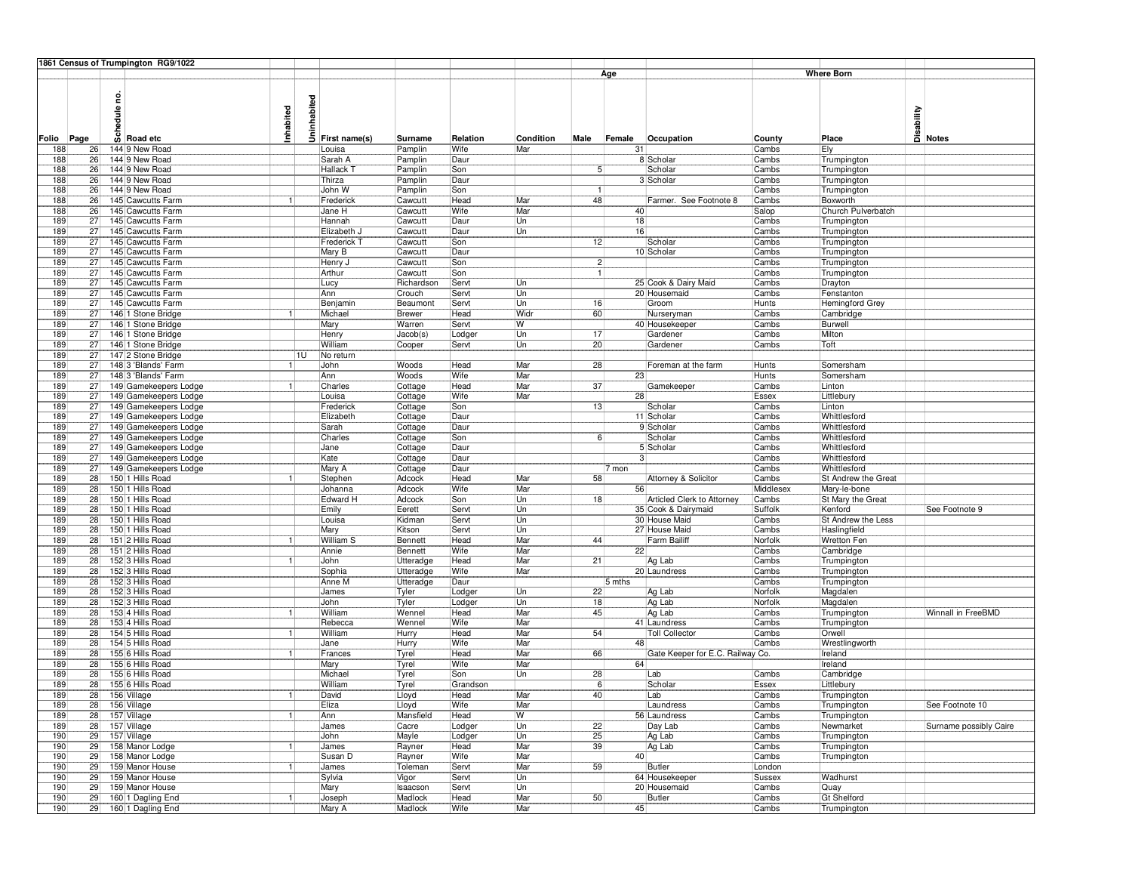|            |                 | 1861 Census of Trumpington RG9/1022            |              |             |                           |                      |                  |                  |                          |              |                                  |                 |                              |                                             |
|------------|-----------------|------------------------------------------------|--------------|-------------|---------------------------|----------------------|------------------|------------------|--------------------------|--------------|----------------------------------|-----------------|------------------------------|---------------------------------------------|
|            |                 |                                                |              |             |                           |                      |                  |                  |                          | Age          |                                  |                 | <b>Where Born</b>            |                                             |
|            |                 | 2<br>١e<br>$\overline{\omega}$ Road etc        | Inhabited    | Uninhabited |                           |                      |                  |                  |                          |              |                                  |                 |                              | Disability<br>Disa<br><mark>Di Notes</mark> |
| Folio      | Page<br>26      | 144 9 New Road                                 |              |             | First name(s)<br>Louisa   | Surname              | Relation<br>Wife | Condition<br>Mar | Male                     | Female<br>31 | Occupation                       | County<br>Cambs | Place                        |                                             |
| 188<br>188 | 26              | 144 9 New Road                                 |              |             | Sarah A                   | Pamplin<br>Pamplin   | Daur             |                  |                          |              | 8 Scholar                        | Cambs           | Ely<br>Trumpington           |                                             |
| 188        | 26              | 144 9 New Road                                 |              |             | Hallack T                 | Pamplin              | Son              |                  | 5 <sup>1</sup>           |              | Scholar                          | Cambs           | Trumpington                  |                                             |
| 188        | 26              | 144 9 New Road                                 |              |             | Thirza                    | Pamplin              | Daur             |                  |                          |              | 3 Scholar                        | Cambs           | Trumpington                  |                                             |
| 188        | 26              | 144 9 New Road                                 |              |             | John W                    | Pamplin              | Son              |                  | -11                      |              |                                  | Cambs           | Trumpington                  |                                             |
| 188        | 26              | 145 Cawcutts Farm                              | 1            |             | Frederick                 | Cawcutt              | Head             | Mar              | 48                       |              | Farmer. See Footnote 8           | Cambs           | Boxworth                     |                                             |
| 188        | 26              | 145 Cawcutts Farm                              |              |             | Jane H                    | Cawcutt              | Wife             | Mar              |                          | 40           |                                  | Salop           | Church Pulverbatch           |                                             |
| 189        | 27              | 145 Cawcutts Farm                              |              |             | Hannah                    | Cawcutt              | Daur             | Un               |                          | 18           |                                  | Cambs           | Trumpington                  |                                             |
| 189        | 27              | 145 Cawcutts Farm                              |              |             | Elizabeth J               | Cawcutt              | Daur             | Un               |                          | 16           |                                  | Cambs           | Trumpington                  |                                             |
| 189        | 27              | 145 Cawcutts Farm                              |              |             | Frederick T               | Cawcutt              | Son              |                  | 12                       |              | Scholar                          | Cambs           | Trumpington                  |                                             |
| 189        | 27              | 145 Cawcutts Farm                              |              |             | Mary B                    | Cawcutt              | Daur             |                  |                          |              | 10 Scholar                       | Cambs           | Trumpington                  |                                             |
| 189<br>189 | 27<br>27        | 145 Cawcutts Farm<br>145 Cawcutts Farm         |              |             | Henry J<br>Arthur         | Cawcutt<br>Cawcutt   | Son<br>Son       |                  | $2\sqrt{2}$<br>$\vert$ 1 |              |                                  | Cambs<br>Cambs  | Trumpington                  |                                             |
| 189        | 27              | 145 Cawcutts Farm                              |              |             | Lucy                      | Richardson           | Servt            | Un               |                          |              | 25 Cook & Dairy Maid             | Cambs           | Trumpington<br>Drayton       |                                             |
| 189        | 27              | 145 Cawcutts Farm                              |              |             | Ann                       | Crouch               | Servt            | Un               |                          |              | 20 Housemaid                     | Cambs           | Fenstanton                   |                                             |
| 189        | 27              | 145 Cawcutts Farm                              |              |             | Benjamin                  | Beaumont             | Servt            | Un               | 16                       |              | Groom                            | Hunts           | Hemingford Grey              |                                             |
| 189        | 27              | 146 1 Stone Bridge                             | -1           |             | Michael                   | <b>Brewer</b>        | Head             | Widr             | 60                       |              | Nurseryman                       | Cambs           | Cambridge                    |                                             |
| 189        | 27              | 146 1 Stone Bridge                             |              |             | Mary                      | Warren               | Servt            | W                |                          |              | 40 Housekeeper                   | Cambs           | Burwell                      |                                             |
| 189        | 27              | 146 1 Stone Bridge                             |              |             | Henry                     | Jacob(s)             | Lodger           | Un               | 17                       |              | Gardener                         | Cambs           | Milton                       |                                             |
| 189        | $\overline{27}$ | 146 1 Stone Bridge                             |              |             | William                   | Cooper               | Servt            | Un               | 20                       |              | Gardener                         | Cambs           | Toft                         |                                             |
| 189        | 27              | 147 2 Stone Bridge                             |              | 1U          | No return                 |                      |                  |                  |                          |              |                                  |                 |                              |                                             |
| 189        | 27              | 148 3 'Blands' Farm                            |              |             | John                      | Woods                | Head             | Mar              | 28                       |              | Foreman at the farm              | Hunts           | Somersham                    |                                             |
| 189        | 27              | 148 3 'Blands' Farm                            |              |             | Ann                       | Woods                | Wife             | Mar              |                          | 23           |                                  | Hunts           | Somersham                    |                                             |
| 189        | 27              | 149 Gamekeepers Lodge                          |              |             | Charles                   | Cottage              | Head             | Mar              | 37                       |              | Gamekeeper                       | Cambs           | Linton                       |                                             |
| 189        | 27              | 149 Gamekeepers Lodge                          |              |             | Louisa                    | Cottage              | Wife             | Mar              |                          | 28           |                                  | Essex           | Littlebury                   |                                             |
| 189<br>189 | 27<br>27        | 149 Gamekeepers Lodge<br>149 Gamekeepers Lodge |              |             | Frederick<br>Elizabeth    | Cottage              | Son<br>Daur      |                  | 13                       |              | Scholar<br>11 Scholar            | Cambs<br>Cambs  | Linton                       |                                             |
| 189        | 27              | 149 Gamekeepers Lodge                          |              |             | Sarah                     | Cottage<br>Cottage   | Daur             |                  |                          |              | 9 Scholar                        | Cambs           | Whittlesford<br>Whittlesford |                                             |
| 189        | 27              | 149 Gamekeepers Lodge                          |              |             | Charles                   | Cottage              | Son              |                  | 6!                       |              | Scholar                          | Cambs           | Whittlesford                 |                                             |
| 189        | 27              | 149 Gamekeepers Lodge                          |              |             | Jane                      | Cottage              | Daur             |                  |                          |              | 5 Scholar                        | Cambs           | Whittlesford                 |                                             |
| 189        | 27              | 149 Gamekeepers Lodge                          |              |             | Kate                      | Cottage              | Daur             |                  |                          | 3            |                                  | Cambs           | Whittlesford                 |                                             |
| 189        | 27              | 149 Gamekeepers Lodge                          |              |             | Mary A                    | Cottage              | Daur             |                  |                          | 7 mon        |                                  | Cambs           | Whittlesford                 |                                             |
| 189        | 28              | 150 1 Hills Road                               |              |             | Stephen                   | Adcock               | Head             | Mar              | 58                       |              | Attorney & Solicitor             | Cambs           | St Andrew the Great          |                                             |
| 189        | 28              | 150 1 Hills Road                               |              |             | Johanna                   | Adcock               | <b>Wife</b>      | Mar              |                          | 56           |                                  | Middlesex       | Mary-le-bone                 |                                             |
| 189        | 28              | 150 1 Hills Road                               |              |             | Edward H                  | Adcock               | Son              | Un               | 18                       |              | Articled Clerk to Attorney       | Cambs           | St Mary the Great            |                                             |
| 189        | 28              | 150 1 Hills Road                               |              |             | Emily                     | Eerett               | Servt            | Un               |                          |              | 35 Cook & Dairymaid              | Suffolk         | Kenford                      | See Footnote 9                              |
| 189        | 28              | 150 1 Hills Road                               |              |             | Louisa                    | Kidman               | Servt            | Un               |                          |              | 30 House Maid                    | Cambs           | St Andrew the Less           |                                             |
| 189        | 28              | 150 1 Hills Road                               |              |             | Mary                      | Kitson               | Servt            | Un               |                          |              | 27 House Maid                    | Cambs           | Haslingfield                 |                                             |
| 189        | 28<br>28        | 151 2 Hills Road                               |              |             | <b>William S</b><br>Annie | Bennett              | Head<br>Wife     | Mar<br>Mar       | 44                       | 22           | <b>Farm Bailiff</b>              | Norfolk         | Wretton Fen                  |                                             |
| 189<br>189 | 28              | 151 2 Hills Road<br>152 3 Hills Road           | 1            |             | John                      | Bennett<br>Utteradge | Head             | Mar              | 21                       |              | Ag Lab                           | Cambs<br>Cambs  | Cambridge<br>Trumpington     |                                             |
| 189        | 28              | 152 3 Hills Road                               |              |             | Sophia                    | Utteradge            | Wife             | Mar              |                          |              | 20 Laundress                     | Cambs           | Trumpington                  |                                             |
| 189        | 28              | 152 3 Hills Road                               |              |             | Anne M                    | Utteradge            | Daur             |                  |                          | 5 mths       |                                  | Cambs           | Trumpington                  |                                             |
| 189        | 28              | 152 3 Hills Road                               |              |             | James                     | Tyler                | Lodger           | Un               | 22                       |              | Ag Lab                           | Norfolk         | Magdalen                     |                                             |
| 189        | 28              | 152 3 Hills Road                               |              |             | John                      | Tyler                | Lodger           | Un               | 18                       |              | Ag Lab                           | Norfolk         | Magdalen                     |                                             |
| 189        | 28              | 153 4 Hills Road                               | 1            |             | William                   | Wennel               | Head             | Mar              | 45                       |              | Ag Lab                           | Cambs           | Trumpington                  | Winnall in FreeBMD                          |
| 189        | 28              | 153 4 Hills Road                               |              |             | Rebecca                   | Wennel               | Wife             | Mar              |                          |              | 41 Laundress                     | Cambs           | Trumpington                  |                                             |
| 189        | 28              | 154 5 Hills Road                               | -11          |             | William                   | Hurry                | Head             | Mar              | 54                       |              | <b>Toll Collector</b>            | Cambs           | Orwell                       |                                             |
| 189        | 28              | 154 5 Hills Road                               |              |             | Jane                      | Hurry                | Wife             | Mar              |                          | 48           |                                  | Cambs           | Wrestlingworth               |                                             |
| 189        | 28              | 155 6 Hills Road                               | 11           |             | Frances                   | Tyrel                | Head             | Mar              | 66                       |              | Gate Keeper for E.C. Railway Co. |                 | Ireland                      |                                             |
| 189        | 28              | 155 6 Hills Road                               |              |             | Mary                      | Tyrel                | Wife             | Mar              |                          | 64           |                                  |                 | Ireland                      |                                             |
| 189        | 28              | 155 6 Hills Road                               |              |             | Michael                   | Tyrel                | Son              | Un               | 28                       |              | Lab                              | Cambs           | Cambridge                    |                                             |
| 189        | 28              | 155 6 Hills Road<br>156 Village                |              |             | William                   | Tyrel                | Grandson<br>Head | Mar              | 6 <sup>8</sup><br>40     |              | Scholar                          | Essex           | Littlebury                   |                                             |
| 189<br>189 | 28<br>28        |                                                |              |             | David<br>Eliza            | Lloyd<br>Lloyd       | Wife             | Mar              |                          |              | Lab<br>Laundress                 | Cambs<br>Cambs  | Trumpington                  | See Footnote 10                             |
| 189        | 28              | 156 Village<br>157 Village                     | $\mathbf{1}$ |             | Ann                       | Mansfield            | Head             | W                |                          |              | 56 Laundress                     | Cambs           | Trumpington<br>Trumpington   |                                             |
| 189        | 28              | 157 Village                                    |              |             | James                     | Cacre                | Lodger           | Un               | 22                       |              | Day Lab                          | Cambs           | Newmarket                    | Surname possibly Caire                      |
| 190        | 29              | 157 Village                                    |              |             | John                      | Mayle                | Lodger           | Un               | 25                       |              | Ag Lab                           | Cambs           | Trumpington                  |                                             |
| 190        | 29              | 158 Manor Lodge                                | 1.           |             | James                     | Rayner               | Head             | Mar              | 39                       |              | Ag Lab                           | Cambs           | Trumpington                  |                                             |
| 190        | 29              | 158 Manor Lodge                                |              |             | Susan D                   | Rayner               | Wife             | Mar              |                          | 40           |                                  | Cambs           | Trumpington                  |                                             |
| 190        | 29              | 159 Manor House                                | 11           |             | James                     | Toleman              | Servt            | Mar              | 59                       |              | Butler                           | London          |                              |                                             |
| 190        | 29              | 159 Manor House                                |              |             | Sylvia                    | Vigor                | Servt            | Un               |                          |              | 64 Housekeeper                   | Sussex          | Wadhurst                     |                                             |
| 190        | 29              | 159 Manor House                                |              |             | Mary                      | Isaacson             | Servt            | Un               |                          |              | 20 Housemaid                     | Cambs           | Quay                         |                                             |
| 190        | 29              | 160 1 Dagling End                              | 11           |             | Joseph                    | Madlock              | Head             | Mar              | 50                       |              | Butler                           | Cambs           | <b>Gt Shelford</b>           |                                             |
| 190        | 29              | 160 1 Dagling End                              |              |             | Mary A                    | Madlock              | Wife             | Mar              |                          | 45           |                                  | Cambs           | Trumpington                  |                                             |